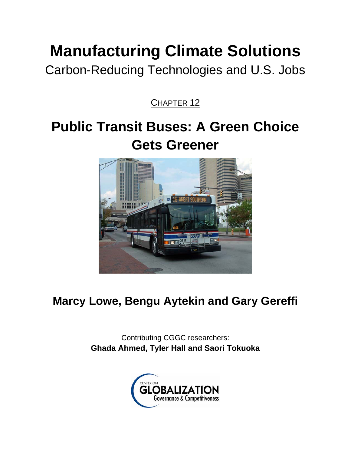# **Manufacturing Climate Solutions**

Carbon-Reducing Technologies and U.S. Jobs

CHAPTER<sub>12</sub>

## **Public Transit Buses: A Green Choice Gets Greener**



## **Marcy Lowe, Bengu Aytekin and Gary Gereffi**

Contributing CGGC researchers: **Ghada Ahmed, Tyler Hall and Saori Tokuoka** 

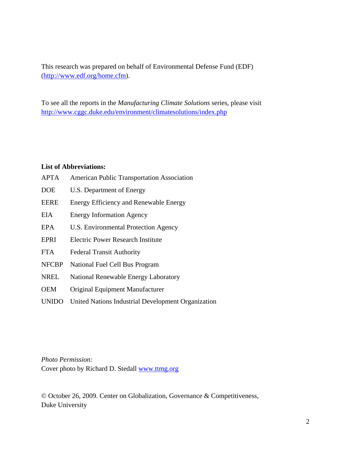This research was prepared on behalf of Environmental Defense Fund (EDF) (http://www.edf.org/home.cfm).

To see all the reports in the *Manufacturing Climate Solutions* series, please visit http://www.cggc.duke.edu/environment/climatesolutions/index.php

#### **List of Abbreviations:**

APTA American Public Transportation Association DOE U.S. Department of Energy EERE Energy Efficiency and Renewable Energy EIA Energy Information Agency EPA U.S. Environmental Protection Agency EPRI Electric Power Research Institute FTA Federal Transit Authority NFCBP National Fuel Cell Bus Program NREL National Renewable Energy Laboratory OEM Original Equipment Manufacturer UNIDO United Nations Industrial Development Organization

*Photo Permission:*  Cover photo by Richard D. Stedall www.ttmg.org

© October 26, 2009. Center on Globalization, Governance & Competitiveness, Duke University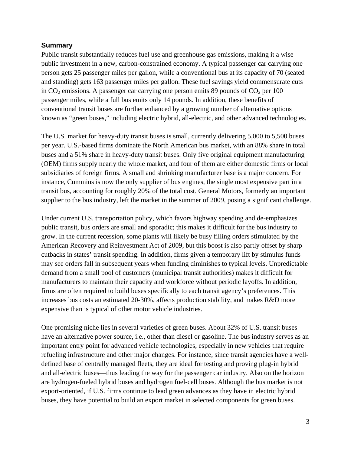#### **Summary**

Public transit substantially reduces fuel use and greenhouse gas emissions, making it a wise public investment in a new, carbon-constrained economy. A typical passenger car carrying one person gets 25 passenger miles per gallon, while a conventional bus at its capacity of 70 (seated and standing) gets 163 passenger miles per gallon. These fuel savings yield commensurate cuts in  $CO<sub>2</sub>$  emissions. A passenger car carrying one person emits 89 pounds of  $CO<sub>2</sub>$  per 100 passenger miles, while a full bus emits only 14 pounds. In addition, these benefits of conventional transit buses are further enhanced by a growing number of alternative options known as "green buses," including electric hybrid, all-electric, and other advanced technologies.

The U.S. market for heavy-duty transit buses is small, currently delivering 5,000 to 5,500 buses per year. U.S.-based firms dominate the North American bus market, with an 88% share in total buses and a 51% share in heavy-duty transit buses. Only five original equipment manufacturing (OEM) firms supply nearly the whole market, and four of them are either domestic firms or local subsidiaries of foreign firms. A small and shrinking manufacturer base is a major concern. For instance, Cummins is now the only supplier of bus engines, the single most expensive part in a transit bus, accounting for roughly 20% of the total cost. General Motors, formerly an important supplier to the bus industry, left the market in the summer of 2009, posing a significant challenge.

Under current U.S. transportation policy, which favors highway spending and de-emphasizes public transit, bus orders are small and sporadic; this makes it difficult for the bus industry to grow. In the current recession, some plants will likely be busy filling orders stimulated by the American Recovery and Reinvestment Act of 2009, but this boost is also partly offset by sharp cutbacks in states' transit spending. In addition, firms given a temporary lift by stimulus funds may see orders fall in subsequent years when funding diminishes to typical levels. Unpredictable demand from a small pool of customers (municipal transit authorities) makes it difficult for manufacturers to maintain their capacity and workforce without periodic layoffs. In addition, firms are often required to build buses specifically to each transit agency's preferences. This increases bus costs an estimated 20-30%, affects production stability, and makes R&D more expensive than is typical of other motor vehicle industries.

One promising niche lies in several varieties of green buses. About 32% of U.S. transit buses have an alternative power source, i.e., other than diesel or gasoline. The bus industry serves as an important entry point for advanced vehicle technologies, especially in new vehicles that require refueling infrastructure and other major changes. For instance, since transit agencies have a welldefined base of centrally managed fleets, they are ideal for testing and proving plug-in hybrid and all-electric buses—thus leading the way for the passenger car industry. Also on the horizon are hydrogen-fueled hybrid buses and hydrogen fuel-cell buses. Although the bus market is not export-oriented, if U.S. firms continue to lead green advances as they have in electric hybrid buses, they have potential to build an export market in selected components for green buses.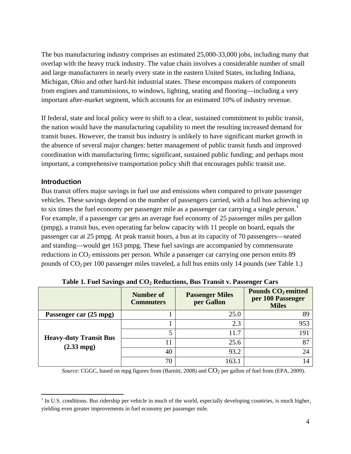The bus manufacturing industry comprises an estimated 25,000-33,000 jobs, including many that overlap with the heavy truck industry. The value chain involves a considerable number of small and large manufacturers in nearly every state in the eastern United States, including Indiana, Michigan, Ohio and other hard-hit industrial states. These encompass makers of components from engines and transmissions, to windows, lighting, seating and flooring—including a very important after-market segment, which accounts for an estimated 10% of industry revenue.

If federal, state and local policy were to shift to a clear, sustained commitment to public transit, the nation would have the manufacturing capability to meet the resulting increased demand for transit buses. However, the transit bus industry is unlikely to have significant market growth in the absence of several major changes: better management of public transit funds and improved coordination with manufacturing firms; significant, sustained public funding; and perhaps most important, a comprehensive transportation policy shift that encourages public transit use.

#### **Introduction**

 $\overline{a}$ 

Bus transit offers major savings in fuel use and emissions when compared to private passenger vehicles. These savings depend on the number of passengers carried, with a full bus achieving up to six times the fuel economy per passenger mile as a passenger car carrying a single person.<sup>1</sup> For example, if a passenger car gets an average fuel economy of 25 passenger miles per gallon (pmpg), a transit bus, even operating far below capacity with 11 people on board, equals the passenger car at 25 pmpg. At peak transit hours, a bus at its capacity of 70 passengers—seated and standing—would get 163 pmpg. These fuel savings are accompanied by commensurate reductions in  $CO<sub>2</sub>$  emissions per person. While a passenger car carrying one person emits 89 pounds of CO2 per 100 passenger miles traveled, a full bus emits only 14 pounds (see Table 1.)

|                                                       | Number of<br><b>Commuters</b> | <b>Passenger Miles</b><br>per Gallon | Pounds CO <sub>2</sub> emitted<br>per 100 Passenger<br><b>Miles</b> |
|-------------------------------------------------------|-------------------------------|--------------------------------------|---------------------------------------------------------------------|
| Passenger car (25 mpg)                                |                               | 25.0                                 | 89                                                                  |
|                                                       |                               | 2.3                                  | 953                                                                 |
|                                                       |                               | 11.7                                 | 191                                                                 |
| <b>Heavy-duty Transit Bus</b><br>$(2.33 \text{ mpg})$ |                               | 25.6                                 | 87                                                                  |
|                                                       | 40                            | 93.2                                 | 24                                                                  |
|                                                       | 70                            | 163.1                                |                                                                     |

Table 1. Fuel Savings and CO<sub>2</sub> Reductions, Bus Transit v. Passenger Cars

*Source*: CGGC, based on mpg figures from (Barnitt, 2008) and  $CO_2$  per gallon of fuel from (EPA, 2009).

 $<sup>1</sup>$  In U.S. conditions. Bus ridership per vehicle in much of the world, especially developing countries, is much higher,</sup> yielding even greater improvements in fuel economy per passenger mile.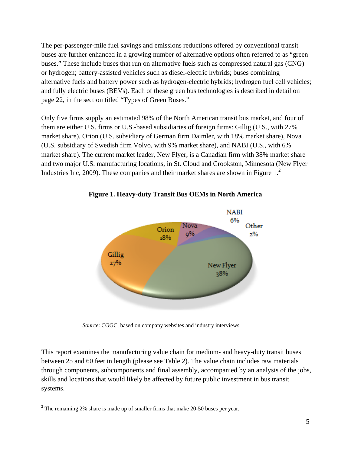The per-passenger-mile fuel savings and emissions reductions offered by conventional transit buses are further enhanced in a growing number of alternative options often referred to as "green buses." These include buses that run on alternative fuels such as compressed natural gas (CNG) or hydrogen; battery-assisted vehicles such as diesel-electric hybrids; buses combining alternative fuels and battery power such as hydrogen-electric hybrids; hydrogen fuel cell vehicles; and fully electric buses (BEVs). Each of these green bus technologies is described in detail on page 22, in the section titled "Types of Green Buses."

Only five firms supply an estimated 98% of the North American transit bus market, and four of them are either U.S. firms or U.S.-based subsidiaries of foreign firms: Gillig (U.S., with 27% market share), Orion (U.S. subsidiary of German firm Daimler, with 18% market share), Nova (U.S. subsidiary of Swedish firm Volvo, with 9% market share), and NABI (U.S., with 6% market share). The current market leader, New Flyer, is a Canadian firm with 38% market share and two major U.S. manufacturing locations, in St. Cloud and Crookston, Minnesota (New Flyer Industries Inc, 2009). These companies and their market shares are shown in Figure 1.<sup>2</sup>



**Figure 1. Heavy-duty Transit Bus OEMs in North America** 

*Source*: CGGC, based on company websites and industry interviews.

This report examines the manufacturing value chain for medium- and heavy-duty transit buses between 25 and 60 feet in length (please see Table 2). The value chain includes raw materials through components, subcomponents and final assembly, accompanied by an analysis of the jobs, skills and locations that would likely be affected by future public investment in bus transit systems.

 $\overline{a}$ 

 $2^2$  The remaining 2% share is made up of smaller firms that make 20-50 buses per year.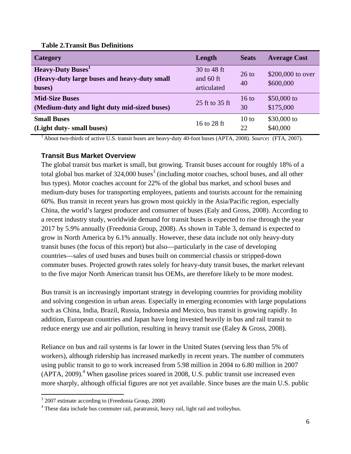#### **Table 2.Transit Bus Definitions**

| Category                                                                          | Length                                  | <b>Seats</b>    | <b>Average Cost</b>            |
|-----------------------------------------------------------------------------------|-----------------------------------------|-----------------|--------------------------------|
| <b>Heavy-Duty Buses</b><br>(Heavy-duty large buses and heavy-duty small<br>buses) | 30 to 48 ft<br>and 60 ft<br>articulated | $26$ to<br>40   | \$200,000 to over<br>\$600,000 |
| <b>Mid-Size Buses</b>                                                             | 25 ft to 35 ft                          | $16 \text{ to}$ | $$50,000$ to                   |
| (Medium-duty and light duty mid-sized buses)                                      |                                         | 30              | \$175,000                      |
| <b>Small Buses</b>                                                                | 16 to 28 ft                             | 10 to           | \$30,000 to                    |
| (Light duty- small buses)                                                         |                                         | 22              | \$40,000                       |

1 About two-thirds of active U.S. transit buses are heavy-duty 40-foot buses (APTA, 2008). *Source***:** (FTA, 2007).

#### **Transit Bus Market Overview**

The global transit bus market is small, but growing. Transit buses account for roughly 18% of a total global bus market of  $324,000$  buses<sup>3</sup> (including motor coaches, school buses, and all other bus types). Motor coaches account for 22% of the global bus market, and school buses and medium-duty buses for transporting employees, patients and tourists account for the remaining 60%. Bus transit in recent years has grown most quickly in the Asia/Pacific region, especially China, the world's largest producer and consumer of buses (Ealy and Gross, 2008). According to a recent industry study, worldwide demand for transit buses is expected to rise through the year 2017 by 5.9% annually (Freedonia Group, 2008). As shown in Table 3, demand is expected to grow in North America by 6.1% annually. However, these data include not only heavy-duty transit buses (the focus of this report) but also—particularly in the case of developing countries—sales of used buses and buses built on commercial chassis or stripped-down commuter buses. Projected growth rates solely for heavy-duty transit buses, the market relevant to the five major North American transit bus OEMs, are therefore likely to be more modest.

Bus transit is an increasingly important strategy in developing countries for providing mobility and solving congestion in urban areas. Especially in emerging economies with large populations such as China, India, Brazil, Russia, Indonesia and Mexico, bus transit is growing rapidly. In addition, European countries and Japan have long invested heavily in bus and rail transit to reduce energy use and air pollution, resulting in heavy transit use (Ealey & Gross, 2008).

Reliance on bus and rail systems is far lower in the United States (serving less than 5% of workers), although ridership has increased markedly in recent years. The number of commuters using public transit to go to work increased from 5.98 million in 2004 to 6.80 million in 2007  $(APTA, 2009).$ <sup>4</sup> When gasoline prices soared in 2008, U.S. public transit use increased even more sharply, although official figures are not yet available. Since buses are the main U.S. public

1

 $3\,2007$  estimate according to (Freedonia Group, 2008)<br> $4\,$ These data include bus commuter reil, perstrepsit, has

<sup>&</sup>lt;sup>4</sup> These data include bus commuter rail, paratransit, heavy rail, light rail and trolleybus.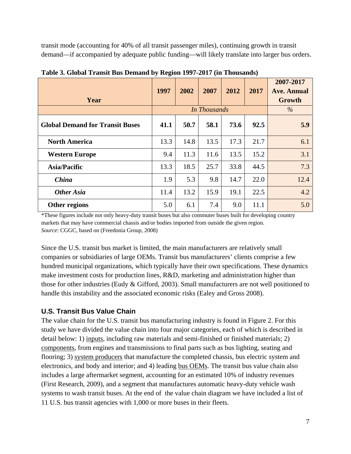transit mode (accounting for 40% of all transit passenger miles), continuing growth in transit demand—if accompanied by adequate public funding—will likely translate into larger bus orders.

| Year                                   | 1997 | 2002 | 2007                | 2012 | 2017 | 2007-2017<br><b>Ave. Annual</b><br>Growth |
|----------------------------------------|------|------|---------------------|------|------|-------------------------------------------|
|                                        |      |      | <b>In Thousands</b> |      |      | $\%$                                      |
| <b>Global Demand for Transit Buses</b> | 41.1 | 50.7 | 58.1                | 73.6 | 92.5 | 5.9                                       |
| <b>North America</b>                   | 13.3 | 14.8 | 13.5                | 17.3 | 21.7 | 6.1                                       |
| <b>Western Europe</b>                  | 9.4  | 11.3 | 11.6                | 13.5 | 15.2 | 3.1                                       |
| <b>Asia/Pacific</b>                    | 13.3 | 18.5 | 25.7                | 33.8 | 44.5 | 7.3                                       |
| <b>China</b>                           | 1.9  | 5.3  | 9.8                 | 14.7 | 22.0 | 12.4                                      |
| <b>Other Asia</b>                      | 11.4 | 13.2 | 15.9                | 19.1 | 22.5 | 4.2                                       |
| Other regions                          | 5.0  | 6.1  | 7.4                 | 9.0  | 11.1 | 5.0                                       |

**Table 3. Global Transit Bus Demand by Region 1997-2017 (in Thousands)** 

\*These figures include not only heavy-duty transit buses but also commuter buses built for developing country markets that may have commercial chassis and/or bodies imported from outside the given region. *Source*: CGGC, based on (Freedonia Group, 2008)

Since the U.S. transit bus market is limited, the main manufacturers are relatively small companies or subsidiaries of large OEMs. Transit bus manufacturers' clients comprise a few hundred municipal organizations, which typically have their own specifications. These dynamics make investment costs for production lines, R&D, marketing and administration higher than those for other industries (Eudy & Gifford, 2003). Small manufacturers are not well positioned to handle this instability and the associated economic risks (Ealey and Gross 2008).

#### **U.S. Transit Bus Value Chain**

The value chain for the U.S. transit bus manufacturing industry is found in Figure 2. For this study we have divided the value chain into four major categories, each of which is described in detail below: 1) inputs, including raw materials and semi-finished or finished materials; 2) components, from engines and transmissions to final parts such as bus lighting, seating and flooring; 3) system producers that manufacture the completed chassis, bus electric system and electronics, and body and interior; and 4) leading bus OEMs. The transit bus value chain also includes a large aftermarket segment, accounting for an estimated 10% of industry revenues (First Research, 2009), and a segment that manufactures automatic heavy-duty vehicle wash systems to wash transit buses. At the end of the value chain diagram we have included a list of 11 U.S. bus transit agencies with 1,000 or more buses in their fleets.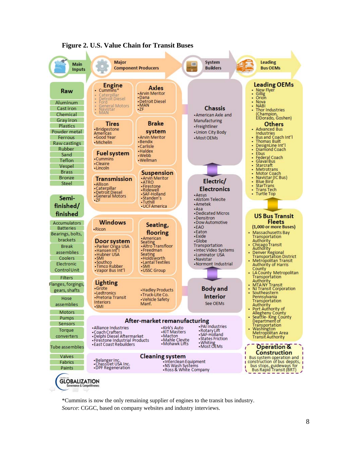

#### **Figure 2. U.S. Value Chain for Transit Buses**

\*Cummins is now the only remaining supplier of engines to the transit bus industry. *Source*: CGGC, based on company websites and industry interviews.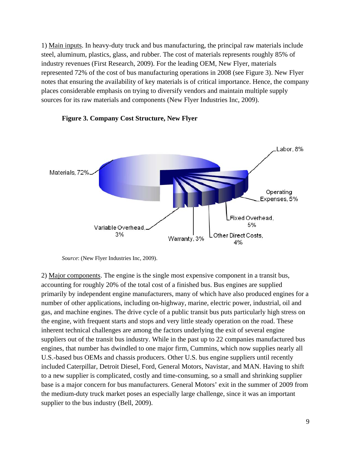1) Main inputs. In heavy-duty truck and bus manufacturing, the principal raw materials include steel, aluminum, plastics, glass, and rubber. The cost of materials represents roughly 85% of industry revenues (First Research, 2009). For the leading OEM, New Flyer, materials represented 72% of the cost of bus manufacturing operations in 2008 (see Figure 3). New Flyer notes that ensuring the availability of key materials is of critical importance. Hence, the company places considerable emphasis on trying to diversify vendors and maintain multiple supply sources for its raw materials and components (New Flyer Industries Inc, 2009).



#### **Figure 3. Company Cost Structure, New Flyer**

2) Major components. The engine is the single most expensive component in a transit bus, accounting for roughly 20% of the total cost of a finished bus. Bus engines are supplied primarily by independent engine manufacturers, many of which have also produced engines for a number of other applications, including on-highway, marine, electric power, industrial, oil and gas, and machine engines. The drive cycle of a public transit bus puts particularly high stress on the engine, with frequent starts and stops and very little steady operation on the road. These inherent technical challenges are among the factors underlying the exit of several engine suppliers out of the transit bus industry. While in the past up to 22 companies manufactured bus engines, that number has dwindled to one major firm, Cummins, which now supplies nearly all U.S.-based bus OEMs and chassis producers. Other U.S. bus engine suppliers until recently included Caterpillar, Detroit Diesel, Ford, General Motors, Navistar, and MAN. Having to shift to a new supplier is complicated, costly and time-consuming, so a small and shrinking supplier base is a major concern for bus manufacturers. General Motors' exit in the summer of 2009 from the medium-duty truck market poses an especially large challenge, since it was an important supplier to the bus industry (Bell, 2009).

*Source*: (New Flyer Industries Inc, 2009).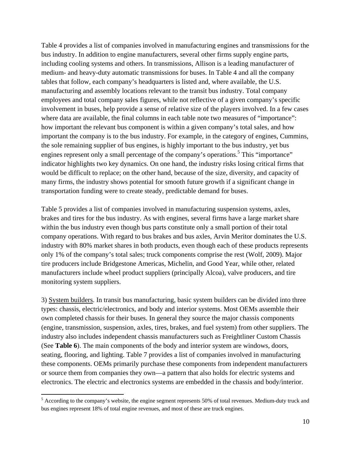Table 4 provides a list of companies involved in manufacturing engines and transmissions for the bus industry. In addition to engine manufacturers, several other firms supply engine parts, including cooling systems and others. In transmissions, Allison is a leading manufacturer of medium- and heavy-duty automatic transmissions for buses. In Table 4 and all the company tables that follow, each company's headquarters is listed and, where available, the U.S. manufacturing and assembly locations relevant to the transit bus industry. Total company employees and total company sales figures, while not reflective of a given company's specific involvement in buses, help provide a sense of relative size of the players involved. In a few cases where data are available, the final columns in each table note two measures of "importance": how important the relevant bus component is within a given company's total sales, and how important the company is to the bus industry. For example, in the category of engines, Cummins, the sole remaining supplier of bus engines, is highly important to the bus industry, yet bus engines represent only a small percentage of the company's operations.<sup>5</sup> This "importance" indicator highlights two key dynamics. On one hand, the industry risks losing critical firms that would be difficult to replace; on the other hand, because of the size, diversity, and capacity of many firms, the industry shows potential for smooth future growth if a significant change in transportation funding were to create steady, predictable demand for buses.

Table 5 provides a list of companies involved in manufacturing suspension systems, axles, brakes and tires for the bus industry. As with engines, several firms have a large market share within the bus industry even though bus parts constitute only a small portion of their total company operations. With regard to bus brakes and bus axles, Arvin Meritor dominates the U.S. industry with 80% market shares in both products, even though each of these products represents only 1% of the company's total sales; truck components comprise the rest (Wolf, 2009). Major tire producers include Bridgestone Americas, Michelin, and Good Year, while other, related manufacturers include wheel product suppliers (principally Alcoa), valve producers, and tire monitoring system suppliers.

3) System builders. In transit bus manufacturing, basic system builders can be divided into three types: chassis, electric/electronics, and body and interior systems. Most OEMs assemble their own completed chassis for their buses. In general they source the major chassis components (engine, transmission, suspension, axles, tires, brakes, and fuel system) from other suppliers. The industry also includes independent chassis manufacturers such as Freightliner Custom Chassis (See **Table 6**). The main components of the body and interior system are windows, doors, seating, flooring, and lighting. Table 7 provides a list of companies involved in manufacturing these components. OEMs primarily purchase these components from independent manufacturers or source them from companies they own—a pattern that also holds for electric systems and electronics. The electric and electronics systems are embedded in the chassis and body/interior.

1

 $<sup>5</sup>$  According to the company's website, the engine segment represents 50% of total revenues. Medium-duty truck and</sup> bus engines represent 18% of total engine revenues, and most of these are truck engines.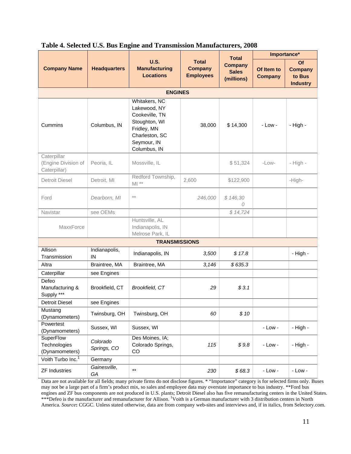|                                                    |                         |                                                                                                                                  |                                                    | <b>Total</b>                                 | Importance*                  |                                                   |  |  |  |  |  |
|----------------------------------------------------|-------------------------|----------------------------------------------------------------------------------------------------------------------------------|----------------------------------------------------|----------------------------------------------|------------------------------|---------------------------------------------------|--|--|--|--|--|
| <b>Company Name</b>                                | <b>Headquarters</b>     | <b>U.S.</b><br><b>Manufacturing</b><br><b>Locations</b>                                                                          | <b>Total</b><br><b>Company</b><br><b>Employees</b> | <b>Company</b><br><b>Sales</b><br>(millions) | Of Item to<br><b>Company</b> | Of<br><b>Company</b><br>to Bus<br><b>Industry</b> |  |  |  |  |  |
| <b>ENGINES</b>                                     |                         |                                                                                                                                  |                                                    |                                              |                              |                                                   |  |  |  |  |  |
| Cummins                                            | Columbus, IN            | Whitakers, NC<br>Lakewood, NY<br>Cookeville, TN<br>Stoughton, WI<br>Fridley, MN<br>Charleston, SC<br>Seymour, IN<br>Columbus, IN | 38,000                                             | \$14,300                                     | $-Low -$                     | $-$ High $-$                                      |  |  |  |  |  |
| Caterpillar<br>(Engine Division of<br>Caterpillar) | Peoria, IL              | Mossville, IL                                                                                                                    |                                                    | \$51,324                                     | $-LOW-$                      | - High -                                          |  |  |  |  |  |
| <b>Detroit Diesel</b>                              | Detroit, MI             | Redford Township,<br>$M1**$                                                                                                      | 2,600                                              | \$122,900                                    |                              | -High-                                            |  |  |  |  |  |
| Ford                                               | Dearborn, MI            | $\star\,\star$                                                                                                                   | 246,000                                            | \$146,30<br>0                                |                              |                                                   |  |  |  |  |  |
| Navistar                                           | see OEMs                |                                                                                                                                  |                                                    | \$14,724                                     |                              |                                                   |  |  |  |  |  |
| MaxxForce                                          |                         | Huntsville, AL<br>Indianapolis, IN<br>Melrose Park, IL                                                                           |                                                    |                                              |                              |                                                   |  |  |  |  |  |
|                                                    |                         | <b>TRANSMISSIONS</b>                                                                                                             |                                                    |                                              |                              |                                                   |  |  |  |  |  |
| Allison<br>Transmission                            | Indianapolis,<br>IN     | Indianapolis, IN                                                                                                                 | 3,500                                              | \$17.8                                       |                              | - High -                                          |  |  |  |  |  |
| Altra                                              | Braintree, MA           | Braintree, MA                                                                                                                    | 3,146                                              | \$635.3                                      |                              |                                                   |  |  |  |  |  |
| Caterpillar                                        | see Engines             |                                                                                                                                  |                                                    |                                              |                              |                                                   |  |  |  |  |  |
| Defeo<br>Manufacturing &<br>Supply ***             | Brookfield, CT          | Brookfield, CT                                                                                                                   | 29                                                 | \$3.1                                        |                              |                                                   |  |  |  |  |  |
| <b>Detroit Diesel</b>                              | see Engines             |                                                                                                                                  |                                                    |                                              |                              |                                                   |  |  |  |  |  |
| Mustang<br>(Dynamometers)                          | Twinsburg, OH           | Twinsburg, OH                                                                                                                    | 60                                                 | \$10                                         |                              |                                                   |  |  |  |  |  |
| Powertest<br>(Dynamometers)                        | Sussex, WI              | Sussex, WI                                                                                                                       |                                                    |                                              | $-Low -$                     | - High -                                          |  |  |  |  |  |
| SuperFlow<br>Technologies<br>(Dynamometers)        | Colorado<br>Springs, CO | Des Moines, IA;<br>Colorado Springs,<br>CO                                                                                       | 115                                                | \$9.8                                        | $-Low -$                     | - High -                                          |  |  |  |  |  |
| Voith Turbo Inc. <sup>1</sup>                      | Germany                 |                                                                                                                                  |                                                    |                                              |                              |                                                   |  |  |  |  |  |
| <b>ZF Industries</b>                               | Gainesville,<br>GA      | $\star\star$                                                                                                                     | 230                                                | \$68.3                                       | $-Low -$                     | $-Low -$                                          |  |  |  |  |  |

#### **Table 4. Selected U.S. Bus Engine and Transmission Manufacturers, 2008**

Data are not available for all fields; many private firms do not disclose figures. \* "Importance" category is for selected firms only. Buses may not be a large part of a firm's product mix, so sales and employee data may overstate importance to bus industry. \*\*Ford bus engines and ZF bus components are not produced in U.S. plants; Detroit Diesel also has five remanufacturing centers in the United States. \*\*\*Defeo is the manufacturer and remanufacturer for Allison. <sup>1</sup>Voith is a German manufacturer with 3 distribution centers in North America. *Source***:** CGGC. Unless stated otherwise, data are from company web-sites and interviews and, if in italics, from Selectory.com.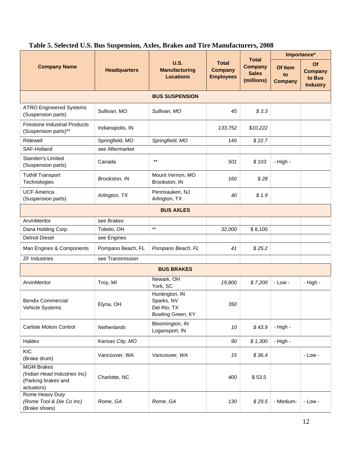|                                                                                        |                     | <b>U.S.</b><br><b>Manufacturing</b><br><b>Locations</b>          | <b>Total</b><br><b>Company</b><br><b>Employees</b> |                                                              | Importance*                     |                                                   |
|----------------------------------------------------------------------------------------|---------------------|------------------------------------------------------------------|----------------------------------------------------|--------------------------------------------------------------|---------------------------------|---------------------------------------------------|
| <b>Company Name</b>                                                                    | <b>Headquarters</b> |                                                                  |                                                    | <b>Total</b><br><b>Company</b><br><b>Sales</b><br>(millions) | Of Item<br>to<br><b>Company</b> | Of<br><b>Company</b><br>to Bus<br><b>Industry</b> |
|                                                                                        |                     | <b>BUS SUSPENSION</b>                                            |                                                    |                                                              |                                 |                                                   |
| <b>ATRO Engineered Systems</b><br>(Suspension parts)                                   | Sullivan, MO        | Sullivan, MO                                                     | 45                                                 | \$3.3                                                        |                                 |                                                   |
| <b>Firestone Industrial Products</b><br>(Suspension parts)**                           | Indianapolis, IN    |                                                                  | 133,752                                            | \$10,222                                                     |                                 |                                                   |
| Ridewell                                                                               | Springfield, MO     | Springfield, MO                                                  | 140                                                | \$22.7                                                       |                                 |                                                   |
| SAF-Holland                                                                            | see Aftermarket     |                                                                  |                                                    |                                                              |                                 |                                                   |
| Standen's Limited<br>(Suspension parts)                                                | Canada              | $***$                                                            | 501                                                | \$103                                                        | - High -                        |                                                   |
| <b>Tuthill Transport</b><br>Technologies                                               | Brookston, IN       | Mount Vernon, MO<br>Brookston, IN                                | 160                                                | \$28                                                         |                                 |                                                   |
| <b>UCF America</b><br>(Suspension parts)                                               | Arlington, TX       | Pennsauken, NJ<br>Arlington, TX                                  | 40                                                 | \$1.9                                                        |                                 |                                                   |
| <b>BUS AXLES</b>                                                                       |                     |                                                                  |                                                    |                                                              |                                 |                                                   |
| ArvinMeritor                                                                           | see Brakes          |                                                                  |                                                    |                                                              |                                 |                                                   |
| Dana Holding Corp.                                                                     | Toledo, OH          | $***$                                                            | 32,000                                             | \$8,100                                                      |                                 |                                                   |
| <b>Detroit Diesel</b>                                                                  | see Engines         |                                                                  |                                                    |                                                              |                                 |                                                   |
| Man Engines & Components                                                               | Pompano Beach, FL   | Pompano Beach, FL                                                | 41                                                 | \$25.2                                                       |                                 |                                                   |
| <b>ZF Industries</b>                                                                   | see Transmission    |                                                                  |                                                    |                                                              |                                 |                                                   |
|                                                                                        |                     | <b>BUS BRAKES</b>                                                |                                                    |                                                              |                                 |                                                   |
| ArvinMeritor                                                                           | Troy, MI            | Newark, OH<br>York, SC                                           | 19,800                                             | \$7,200                                                      | $-Low -$                        | - High -                                          |
| <b>Bendix Commercial</b><br>Vehicle Systems                                            | Elyria, OH          | Huntington, IN<br>Sparks, NV<br>Del Rio, TX<br>Bowling Green, KY | 350                                                |                                                              |                                 |                                                   |
| <b>Carlisle Motion Control</b>                                                         | Netherlands         | Bloomington, IN<br>Logansport, IN                                | 10                                                 | \$43.9                                                       | - High -                        |                                                   |
| Haldex                                                                                 | Kansas City, MO     |                                                                  | 90                                                 | \$1,300                                                      | - High -                        |                                                   |
| <b>KIC</b><br>(Brake drum)                                                             | Vancouver, WA       | Vancouver, WA                                                    | 15                                                 | \$36.4                                                       |                                 | $-Low -$                                          |
| <b>MGM Brakes</b><br>(Indian Head Industries Inc)<br>(Parking brakes and<br>actuators) | Charlotte, NC       |                                                                  | 400                                                | \$53.5                                                       |                                 |                                                   |
| Rome Heavy Duty<br>(Rome Tool & Die Co Inc)<br>(Brake shoes)                           | Rome, GA            | Rome, GA                                                         | 130                                                | \$29.5                                                       | - Medium-                       | $-Low -$                                          |

### **Table 5. Selected U.S. Bus Suspension, Axles, Brakes and Tire Manufacturers, 2008**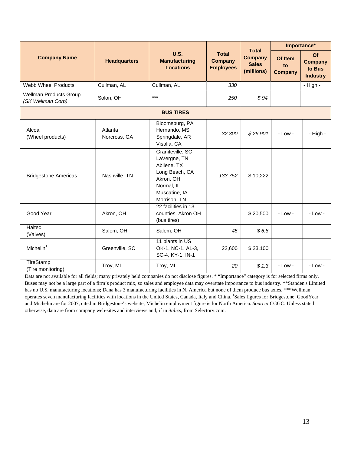|                                                    |                         |                                                                                                                               |                                                    |                                                              |                                 | Importance*                                       |
|----------------------------------------------------|-------------------------|-------------------------------------------------------------------------------------------------------------------------------|----------------------------------------------------|--------------------------------------------------------------|---------------------------------|---------------------------------------------------|
| <b>Company Name</b>                                | <b>Headquarters</b>     | <b>U.S.</b><br><b>Manufacturing</b><br><b>Locations</b>                                                                       | <b>Total</b><br><b>Company</b><br><b>Employees</b> | <b>Total</b><br><b>Company</b><br><b>Sales</b><br>(millions) | Of Item<br>to<br><b>Company</b> | Of<br><b>Company</b><br>to Bus<br><b>Industry</b> |
| <b>Webb Wheel Products</b>                         | Cullman, AL             | Cullman, AL                                                                                                                   | 330                                                |                                                              |                                 | - High -                                          |
| <b>Wellman Products Group</b><br>(SK Wellman Corp) | Solon, OH               | $***$                                                                                                                         | 250                                                | \$94                                                         |                                 |                                                   |
|                                                    |                         | <b>BUS TIRES</b>                                                                                                              |                                                    |                                                              |                                 |                                                   |
| Alcoa<br>(Wheel products)                          | Atlanta<br>Norcross, GA | Bloomsburg, PA<br>Hernando, MS<br>Springdale, AR<br>Visalia, CA                                                               | 32,300                                             | \$26,901                                                     | $-Low -$                        | - High -                                          |
| <b>Bridgestone Americas</b>                        | Nashville, TN           | Graniteville, SC<br>LaVergne, TN<br>Abilene, TX<br>Long Beach, CA<br>Akron, OH<br>Normal, IL<br>Muscatine, IA<br>Morrison, TN | 133,752                                            | \$10,222                                                     |                                 |                                                   |
| Good Year                                          | Akron, OH               | 22 facilities in 13<br>counties. Akron OH<br>(bus tires)                                                                      |                                                    | \$20,500                                                     | $-Low -$                        | $-Low -$                                          |
| Haltec<br>(Valves)                                 | Salem, OH               | Salem, OH                                                                                                                     | 45                                                 | \$6.8                                                        |                                 |                                                   |
| Michelin <sup>1</sup>                              | Greenville, SC          | 11 plants in US<br>OK-1, NC-1, AL-3,<br>SC-4, KY-1, IN-1                                                                      | 22,600                                             | \$23,100                                                     |                                 |                                                   |
| TireStamp<br>(Tire monitoring)                     | Troy, MI                | Troy, MI                                                                                                                      | 20                                                 | \$1.3                                                        | $-Low -$                        | $-Low -$                                          |

Data are not available for all fields; many privately held companies do not disclose figures. \* "Importance" category is for selected firms only. Buses may not be a large part of a firm's product mix, so sales and employee data may overstate importance to bus industry. \*\*Standen's Limited has no U.S. manufacturing locations; Dana has 3 manufacturing facilities in N. America but none of them produce bus axles. \*\*\*Wellman operates seven manufacturing facilities with locations in the United States, Canada, Italy and China. <sup>1</sup>Sales figures for Bridgestone, GoodYear and Michelin are for 2007, cited in Bridgestone's website; Michelin employment figure is for North America. *Source***:** CGGC. Unless stated otherwise, data are from company web-sites and interviews and, if in *italics,* from Selectory.com.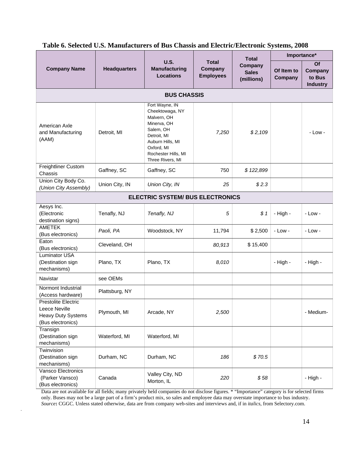|                                                                                               |                     |                                                                                                                                                                          |                                             | <b>Total</b>                          | Importance*           |                                            |  |  |
|-----------------------------------------------------------------------------------------------|---------------------|--------------------------------------------------------------------------------------------------------------------------------------------------------------------------|---------------------------------------------|---------------------------------------|-----------------------|--------------------------------------------|--|--|
| <b>Company Name</b>                                                                           | <b>Headquarters</b> | <b>U.S.</b><br><b>Manufacturing</b><br><b>Locations</b>                                                                                                                  | <b>Total</b><br>Company<br><b>Employees</b> | Company<br><b>Sales</b><br>(millions) | Of Item to<br>Company | Of<br>Company<br>to Bus<br><b>Industry</b> |  |  |
|                                                                                               |                     | <b>BUS CHASSIS</b>                                                                                                                                                       |                                             |                                       |                       |                                            |  |  |
| American Axle<br>and Manufacturing<br>(AAM)                                                   | Detroit, MI         | Fort Wayne, IN<br>Cheektowaga, NY<br>Malvern, OH<br>Minerva, OH<br>Salem, OH<br>Detroit, MI<br>Auburn Hills, MI<br>Oxford, MI<br>Rochester Hills, MI<br>Three Rivers, MI | 7,250                                       | \$2,109                               |                       | $-Low -$                                   |  |  |
| Freightliner Custom<br>Chassis                                                                | Gaffney, SC         | Gaffney, SC                                                                                                                                                              | 750                                         | \$122,899                             |                       |                                            |  |  |
| Union City Body Co.<br>(Union City Assembly)                                                  | Union City, IN      | Union City, IN                                                                                                                                                           | 25                                          | \$2.3                                 |                       |                                            |  |  |
| <b>ELECTRIC SYSTEM/ BUS ELECTRONICS</b>                                                       |                     |                                                                                                                                                                          |                                             |                                       |                       |                                            |  |  |
| Aesys Inc.<br>(Electronic<br>destination signs)                                               | Tenafly, NJ         | Tenafly, NJ                                                                                                                                                              | 5                                           | \$1                                   | - High -              | $-Low -$                                   |  |  |
| <b>AMETEK</b><br>(Bus electronics)                                                            | Paoli, PA           | Woodstock, NY                                                                                                                                                            | 11,794                                      | \$2,500                               | $-Low -$              | $-Low -$                                   |  |  |
| Eaton<br>(Bus electronics)                                                                    | Cleveland, OH       |                                                                                                                                                                          | 80,913                                      | \$15,400                              |                       |                                            |  |  |
| <b>Luminator USA</b><br>(Destination sign<br>mechanisms)                                      | Plano, TX           | Plano, TX                                                                                                                                                                | 8,010                                       |                                       | - High -              | - High -                                   |  |  |
| Navistar                                                                                      | see OEMs            |                                                                                                                                                                          |                                             |                                       |                       |                                            |  |  |
| Normont Industrial<br>(Access hardware)                                                       | Plattsburg, NY      |                                                                                                                                                                          |                                             |                                       |                       |                                            |  |  |
| <b>Prestolite Electric</b><br>Leece Neville<br><b>Heavy Duty Systems</b><br>(Bus electronics) | Plymouth, MI        | Arcade, NY                                                                                                                                                               | 2,500                                       |                                       |                       | - Medium-                                  |  |  |
| Transign<br>(Destination sign<br>mechanisms)                                                  | Waterford, MI       | Waterford, MI                                                                                                                                                            |                                             |                                       |                       |                                            |  |  |
| Twinvision<br>(Destination sign<br>mechanisms)                                                | Durham, NC          | Durham, NC                                                                                                                                                               | 186                                         | \$70.5                                |                       |                                            |  |  |
| Vansco Electronics<br>(Parker Vansco)<br>(Bus electronics)                                    | Canada              | Valley City, ND<br>Morton, IL                                                                                                                                            | 220                                         | \$58                                  |                       | - High -                                   |  |  |

#### **Table 6. Selected U.S. Manufacturers of Bus Chassis and Electric/Electronic Systems, 2008**

Data are not available for all fields; many privately held companies do not disclose figures. \* "Importance" category is for selected firms only. Buses may not be a large part of a firm's product mix, so sales and employee data may overstate importance to bus industry. *Source***:** CGGC. Unless stated otherwise, data are from company web-sites and interviews and, if in *italics,* from Selectory.com.

.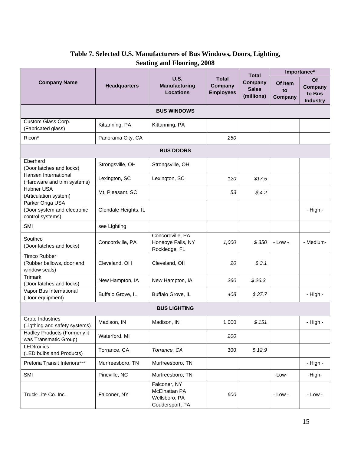|                                                                     |                      |                                                                   | U.S.<br><b>Total</b><br>Company<br><b>Employees</b> | <b>Total</b>                          | Importance*              |                                                   |
|---------------------------------------------------------------------|----------------------|-------------------------------------------------------------------|-----------------------------------------------------|---------------------------------------|--------------------------|---------------------------------------------------|
| <b>Company Name</b>                                                 | <b>Headquarters</b>  | <b>Manufacturing</b><br><b>Locations</b>                          |                                                     | Company<br><b>Sales</b><br>(millions) | Of Item<br>to<br>Company | <b>Of</b><br>Company<br>to Bus<br><b>Industry</b> |
|                                                                     |                      | <b>BUS WINDOWS</b>                                                |                                                     |                                       |                          |                                                   |
| Custom Glass Corp.<br>(Fabricated glass)                            | Kittanning, PA       | Kittanning, PA                                                    |                                                     |                                       |                          |                                                   |
| Ricon*                                                              | Panorama City, CA    |                                                                   | 250                                                 |                                       |                          |                                                   |
|                                                                     |                      | <b>BUS DOORS</b>                                                  |                                                     |                                       |                          |                                                   |
| Eberhard<br>(Door latches and locks)                                | Strongsville, OH     | Strongsville, OH                                                  |                                                     |                                       |                          |                                                   |
| Hansen International<br>(Hardware and trim systems)                 | Lexington, SC        | Lexington, SC                                                     | 120                                                 | \$17.5                                |                          |                                                   |
| Hubner USA<br>(Articulation system)                                 | Mt. Pleasant, SC     |                                                                   | 53                                                  | \$4.2                                 |                          |                                                   |
| Parker Origa USA<br>(Door system and electronic<br>control systems) | Glendale Heights, IL |                                                                   |                                                     |                                       |                          | - High -                                          |
| SMI                                                                 | see Lighting         |                                                                   |                                                     |                                       |                          |                                                   |
| Southco<br>(Door latches and locks)                                 | Concordville, PA     | Concordville, PA<br>Honeoye Falls, NY<br>Rockledge, FL            | 1,000                                               | \$350                                 | $-Low -$                 | - Medium-                                         |
| <b>Timco Rubber</b><br>(Rubber bellows, door and<br>window seals)   | Cleveland, OH        | Cleveland, OH                                                     | 20                                                  | \$3.1                                 |                          |                                                   |
| <b>Trimark</b><br>(Door latches and locks)                          | New Hampton, IA      | New Hampton, IA                                                   | 260                                                 | \$26.3                                |                          |                                                   |
| Vapor Bus International<br>(Door equipment)                         | Buffalo Grove, IL    | Buffalo Grove, IL                                                 | 408                                                 | \$37.7                                |                          | - High -                                          |
|                                                                     |                      | <b>BUS LIGHTING</b>                                               |                                                     |                                       |                          |                                                   |
| Grote Industries<br>(Ligthing and safety systems)                   | Madison, IN          | Madison, IN                                                       | 1,000                                               | \$151                                 |                          | - High -                                          |
| Hadley Products (Formerly it<br>was Transmatic Group)               | Waterford, MI        |                                                                   | 200                                                 |                                       |                          |                                                   |
| <b>LEDtronics</b><br>(LED bulbs and Products)                       | Torrance, CA         | Torrance, CA                                                      | 300                                                 | \$12.9                                |                          |                                                   |
| Pretoria Transit Interiors***                                       | Murfreesboro, TN     | Murfreesboro, TN                                                  |                                                     |                                       |                          | - High -                                          |
| SMI                                                                 | Pineville, NC        | Murfreesboro, TN                                                  |                                                     |                                       | -Low-                    | -High-                                            |
| Truck-Lite Co. Inc.                                                 | Falconer, NY         | Falconer, NY<br>McElhattan PA<br>Wellsboro, PA<br>Coudersport, PA | 600                                                 |                                       | $-Low -$                 | $-Low -$                                          |

### **Table 7. Selected U.S. Manufacturers of Bus Windows, Doors, Lighting, Seating and Flooring, 2008**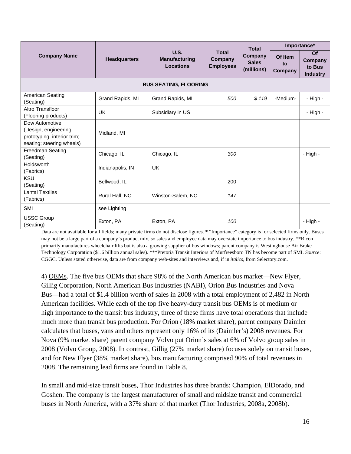|                                                                                                     |                     |                                           |                                             | <b>Total</b>                          | Importance*              |                                            |
|-----------------------------------------------------------------------------------------------------|---------------------|-------------------------------------------|---------------------------------------------|---------------------------------------|--------------------------|--------------------------------------------|
| <b>Company Name</b>                                                                                 | <b>Headquarters</b> | U.S.<br><b>Manufacturing</b><br>Locations | <b>Total</b><br>Company<br><b>Employees</b> | Company<br><b>Sales</b><br>(millions) | Of Item<br>to<br>Company | Of<br>Company<br>to Bus<br><b>Industry</b> |
|                                                                                                     |                     | <b>BUS SEATING, FLOORING</b>              |                                             |                                       |                          |                                            |
| American Seating<br>(Seating)                                                                       | Grand Rapids, MI    | Grand Rapids, MI                          | 500                                         | \$119                                 | -Medium-                 | - High -                                   |
| Altro Transfloor<br>(Flooring products)                                                             | UK                  | Subsidiary in US                          |                                             |                                       |                          | - High -                                   |
| Dow Automotive<br>(Design, engineering,<br>prototyping, interior trim;<br>seating; steering wheels) | Midland, MI         |                                           |                                             |                                       |                          |                                            |
| Freedman Seating<br>(Seating)                                                                       | Chicago, IL         | Chicago, IL                               | 300                                         |                                       |                          | - High -                                   |
| Holdsworth<br>(Fabrics)                                                                             | Indianapolis, IN    | UK.                                       |                                             |                                       |                          |                                            |
| KSU<br>(Seating)                                                                                    | Bellwood, IL        |                                           | 200                                         |                                       |                          |                                            |
| <b>Lantal Textiles</b><br>(Fabrics)                                                                 | Rural Hall, NC      | Winston-Salem, NC                         | 147                                         |                                       |                          |                                            |
| SMI                                                                                                 | see Lighting        |                                           |                                             |                                       |                          |                                            |
| <b>USSC Group</b><br>(Seating)                                                                      | Exton, PA           | Exton, PA                                 | 100                                         |                                       |                          | - High -                                   |

Data are not available for all fields; many private firms do not disclose figures. \* "Importance" category is for selected firms only. Buses may not be a large part of a company's product mix, so sales and employee data may overstate importance to bus industry. \*\*Ricon primarily manufactures wheelchair lifts but is also a growing supplier of bus windows; parent company is Westinghouse Air Brake Technology Corporation (\$1.6 billion annual sales). \*\*\*Pretoria Transit Interiors of Murfreesboro TN has become part of SMI. *Source*: CGGC. Unless stated otherwise, data are from company web-sites and interviews and, if in *italics,* from Selectory.com.

4) OEMs. The five bus OEMs that share 98% of the North American bus market—New Flyer, Gillig Corporation, North American Bus Industries (NABI), Orion Bus Industries and Nova Bus—had a total of \$1.4 billion worth of sales in 2008 with a total employment of 2,482 in North American facilities. While each of the top five heavy-duty transit bus OEMs is of medium or high importance to the transit bus industry, three of these firms have total operations that include much more than transit bus production. For Orion (18% market share), parent company Daimler calculates that buses, vans and others represent only 16% of its (Daimler's) 2008 revenues. For Nova (9% market share) parent company Volvo put Orion's sales at 6% of Volvo group sales in 2008 (Volvo Group, 2008). In contrast, Gillig (27% market share) focuses solely on transit buses, and for New Flyer (38% market share), bus manufacturing comprised 90% of total revenues in 2008. The remaining lead firms are found in Table 8.

In small and mid-size transit buses, Thor Industries has three brands: Champion, ElDorado, and Goshen. The company is the largest manufacturer of small and midsize transit and commercial buses in North America, with a 37% share of that market (Thor Industries, 2008a, 2008b).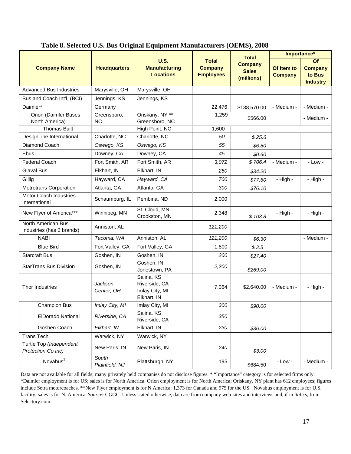|                                                 |                          |                                                              |                                                    | <b>Total</b>                                 |                              | Importance*                                       |
|-------------------------------------------------|--------------------------|--------------------------------------------------------------|----------------------------------------------------|----------------------------------------------|------------------------------|---------------------------------------------------|
| <b>Company Name</b>                             | <b>Headquarters</b>      | <b>U.S.</b><br><b>Manufacturing</b><br><b>Locations</b>      | <b>Total</b><br><b>Company</b><br><b>Employees</b> | <b>Company</b><br><b>Sales</b><br>(millions) | Of Item to<br><b>Company</b> | Of<br><b>Company</b><br>to Bus<br><b>Industry</b> |
| <b>Advanced Bus Industries</b>                  | Marysville, OH           | Marysville, OH                                               |                                                    |                                              |                              |                                                   |
| Bus and Coach Int'l, (BCI)                      | Jennings, KS             | Jennings, KS                                                 |                                                    |                                              |                              |                                                   |
| Daimler*                                        | Germany                  |                                                              | 22,476                                             | \$138,570.00                                 | - Medium -                   | - Medium -                                        |
| <b>Orion (Daimler Buses</b><br>North America)   | Greensboro,<br><b>NC</b> | Oriskany, NY **<br>Greensboro, NC                            | 1,259                                              | \$566.00                                     |                              | - Medium -                                        |
| <b>Thomas Built</b>                             |                          | High Point, NC                                               | 1,600                                              |                                              |                              |                                                   |
| DesignLine International                        | Charlotte, NC            | Charlotte, NC                                                | 50                                                 | \$25.6                                       |                              |                                                   |
| Diamond Coach                                   | Oswego, KS               | Oswego, KS                                                   | 55                                                 | \$6.80                                       |                              |                                                   |
| Ebus                                            | Downey, CA               | Downey, CA                                                   | 45                                                 | \$0.60                                       |                              |                                                   |
| <b>Federal Coach</b>                            | Fort Smith, AR           | Fort Smith, AR                                               | 3,072                                              | \$706.4                                      | - Medium -                   | $-Low -$                                          |
| <b>Glaval Bus</b>                               | Elkhart, IN              | Elkhart, IN                                                  | 250                                                | \$34.20                                      |                              |                                                   |
| Gillig                                          | Hayward, CA              | Hayward, CA                                                  | 700                                                | \$77.60                                      | - High -                     | - High -                                          |
| <b>Metrotrans Corporation</b>                   | Atlanta, GA              | Atlanta, GA                                                  | 300                                                | \$76.10                                      |                              |                                                   |
| <b>Motor Coach Industries</b><br>International  | Schaumburg, IL           | Pembina, ND                                                  | 2,000                                              |                                              |                              |                                                   |
| New Flyer of America***                         | Winnipeg, MN             | St. Cloud, MN<br>Crookston, MN                               | 2,348                                              | \$103.8                                      | - High -                     | - High -                                          |
| North American Bus<br>Industries (has 3 brands) | Anniston, AL             |                                                              | 121,200                                            |                                              |                              |                                                   |
| <b>NABI</b>                                     | Tacoma, WA               | Anniston, AL                                                 | 121,200                                            | \$6.30                                       |                              | - Medium -                                        |
| <b>Blue Bird</b>                                | Fort Valley, GA          | Fort Valley, GA                                              | 1,800                                              | \$2.5                                        |                              |                                                   |
| <b>Starcraft Bus</b>                            | Goshen, IN               | Goshen, IN                                                   | 200                                                | \$27.40                                      |                              |                                                   |
| <b>StarTrans Bus Division</b>                   | Goshen, IN               | Goshen, IN<br>Jonestown, PA                                  | 2,200                                              | \$269.00                                     |                              |                                                   |
| Thor Industries                                 | Jackson<br>Center, OH    | Salina, KS<br>Riverside, CA<br>Imlay City, MI<br>Elkhart, IN | 7,064                                              | \$2,640.00                                   | - Medium -                   | - High -                                          |
| <b>Champion Bus</b>                             | Imlay City, MI           | Imlay City, MI                                               | 300                                                | \$90.00                                      |                              |                                                   |
| <b>ElDorado National</b>                        | Riverside, CA            | Salina, KS<br>Riverside, CA                                  | 350                                                |                                              |                              |                                                   |
| Goshen Coach                                    | Elkhart, IN              | Elkhart, IN                                                  | 230                                                | \$36.00                                      |                              |                                                   |
| <b>Trans Tech</b>                               | Warwick, NY              | Warwick, NY                                                  |                                                    |                                              |                              |                                                   |
| Turtle Top (Independent<br>Protection Co Inc)   | New Paris, IN            | New Paris, IN                                                | 240                                                | \$3.00                                       |                              |                                                   |
| Novabus <sup>1</sup>                            | South<br>Plainfield, NJ  | Plattsburgh, NY                                              | 195                                                | \$684.50                                     | $-Low -$                     | - Medium -                                        |

**Table 8. Selected U.S. Bus Original Equipment Manufacturers (OEMS), 2008** 

Data are not available for all fields; many privately held companies do not disclose figures. \* "Importance" category is for selected firms only. \*Daimler employment is for US; sales is for North America. Orion employment is for North America; Oriskany, NY plant has 612 employees; figures include Setra motorcoaches. \*\*New Flyer employment is for N America: 1,373 for Canada and 975 for the US. <sup>1</sup>Novabus employment is for U.S. facility; sales is for N. America. *Source***:** CGGC. Unless stated otherwise, data are from company web-sites and interviews and, if in *italics,* from Selectory.com.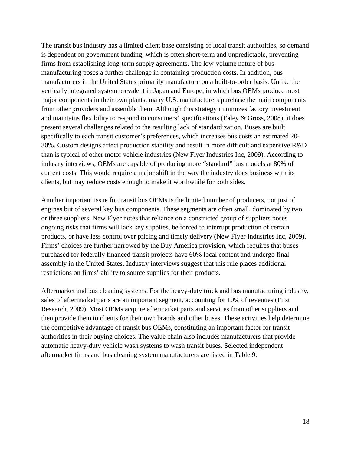The transit bus industry has a limited client base consisting of local transit authorities, so demand is dependent on government funding, which is often short-term and unpredictable, preventing firms from establishing long-term supply agreements. The low-volume nature of bus manufacturing poses a further challenge in containing production costs. In addition, bus manufacturers in the United States primarily manufacture on a built-to-order basis. Unlike the vertically integrated system prevalent in Japan and Europe, in which bus OEMs produce most major components in their own plants, many U.S. manufacturers purchase the main components from other providers and assemble them. Although this strategy minimizes factory investment and maintains flexibility to respond to consumers' specifications (Ealey & Gross, 2008), it does present several challenges related to the resulting lack of standardization. Buses are built specifically to each transit customer's preferences, which increases bus costs an estimated 20- 30%. Custom designs affect production stability and result in more difficult and expensive R&D than is typical of other motor vehicle industries (New Flyer Industries Inc, 2009). According to industry interviews, OEMs are capable of producing more "standard" bus models at 80% of current costs. This would require a major shift in the way the industry does business with its clients, but may reduce costs enough to make it worthwhile for both sides.

Another important issue for transit bus OEMs is the limited number of producers, not just of engines but of several key bus components. These segments are often small, dominated by two or three suppliers. New Flyer notes that reliance on a constricted group of suppliers poses ongoing risks that firms will lack key supplies, be forced to interrupt production of certain products, or have less control over pricing and timely delivery (New Flyer Industries Inc, 2009). Firms' choices are further narrowed by the Buy America provision, which requires that buses purchased for federally financed transit projects have 60% local content and undergo final assembly in the United States. Industry interviews suggest that this rule places additional restrictions on firms' ability to source supplies for their products.

Aftermarket and bus cleaning systems. For the heavy-duty truck and bus manufacturing industry, sales of aftermarket parts are an important segment, accounting for 10% of revenues (First Research, 2009). Most OEMs acquire aftermarket parts and services from other suppliers and then provide them to clients for their own brands and other buses. These activities help determine the competitive advantage of transit bus OEMs, constituting an important factor for transit authorities in their buying choices. The value chain also includes manufacturers that provide automatic heavy-duty vehicle wash systems to wash transit buses. Selected independent aftermarket firms and bus cleaning system manufacturers are listed in Table 9.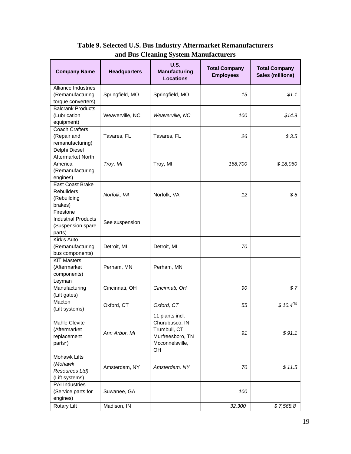| <b>Company Name</b>                 | <b>Headquarters</b> | <b>U.S.</b><br><b>Manufacturing</b><br><b>Locations</b> | <b>Total Company</b><br><b>Employees</b> | <b>Total Company</b><br><b>Sales (millions)</b> |
|-------------------------------------|---------------------|---------------------------------------------------------|------------------------------------------|-------------------------------------------------|
| Alliance Industries                 |                     |                                                         |                                          |                                                 |
| (Remanufacturing                    | Springfield, MO     | Springfield, MO                                         | 15                                       | \$1.1                                           |
| torque converters)                  |                     |                                                         |                                          |                                                 |
| <b>Balcrank Products</b>            |                     |                                                         |                                          |                                                 |
| (Lubrication                        | Weaverville, NC     | Weaverville, NC                                         | 100                                      | \$14.9                                          |
| equipment)                          |                     |                                                         |                                          |                                                 |
| <b>Coach Crafters</b>               |                     |                                                         |                                          |                                                 |
| (Repair and                         | Tavares, FL         | Tavares, FL                                             | 26                                       | \$3.5                                           |
| remanufacturing)                    |                     |                                                         |                                          |                                                 |
| Delphi Diesel                       |                     |                                                         |                                          |                                                 |
| Aftermarket North                   |                     |                                                         |                                          |                                                 |
| America                             | Troy, MI            | Troy, MI                                                | 168,700                                  | \$18,060                                        |
| (Remanufacturing                    |                     |                                                         |                                          |                                                 |
|                                     |                     |                                                         |                                          |                                                 |
| engines)<br><b>East Coast Brake</b> |                     |                                                         |                                          |                                                 |
|                                     |                     |                                                         |                                          |                                                 |
| <b>Rebuilders</b>                   | Norfolk, VA         | Norfolk, VA                                             | 12                                       | \$5                                             |
| (Rebuilding                         |                     |                                                         |                                          |                                                 |
| brakes)                             |                     |                                                         |                                          |                                                 |
| Firestone                           |                     |                                                         |                                          |                                                 |
| <b>Industrial Products</b>          | See suspension      |                                                         |                                          |                                                 |
| (Suspension spare                   |                     |                                                         |                                          |                                                 |
| parts)                              |                     |                                                         |                                          |                                                 |
| Kirk's Auto                         |                     |                                                         |                                          |                                                 |
| (Remanufacturing                    | Detroit, MI         | Detroit, MI                                             | 70                                       |                                                 |
| bus components)                     |                     |                                                         |                                          |                                                 |
| <b>KIT Masters</b>                  |                     |                                                         |                                          |                                                 |
| (Aftermarket                        | Perham, MN          | Perham, MN                                              |                                          |                                                 |
| components)                         |                     |                                                         |                                          |                                                 |
| Leyman                              |                     |                                                         |                                          |                                                 |
| Manufacturing                       | Cincinnati, OH      | Cincinnati, OH                                          | 90                                       | \$7                                             |
| (Lift gates)                        |                     |                                                         |                                          |                                                 |
| Macton                              | Oxford, CT          | Oxford, CT                                              | 55                                       | $$10.4^{(E)}$                                   |
| (Lift systems)                      |                     |                                                         |                                          |                                                 |
|                                     |                     | 11 plants incl.                                         |                                          |                                                 |
| Mahle Clevite                       |                     | Churubusco, IN                                          |                                          |                                                 |
| (Aftermarket                        |                     | Trumbull, CT                                            |                                          |                                                 |
| replacement                         | Ann Arbor, MI       | Murfreesboro, TN                                        | 91                                       | \$91.1                                          |
| parts*)                             |                     | Mcconnelsville,                                         |                                          |                                                 |
|                                     |                     | OH                                                      |                                          |                                                 |
| <b>Mohawk Lifts</b>                 |                     |                                                         |                                          |                                                 |
| (Mohawk                             |                     |                                                         |                                          |                                                 |
| Resources Ltd)                      | Amsterdam, NY       | Amsterdam, NY                                           | 70                                       | \$11.5                                          |
| (Lift systems)                      |                     |                                                         |                                          |                                                 |
| PAI Industries                      |                     |                                                         |                                          |                                                 |
| (Service parts for                  | Suwanee, GA         |                                                         | 100                                      |                                                 |
| engines)                            |                     |                                                         |                                          |                                                 |
| Rotary Lift                         | Madison, IN         |                                                         | 32,300                                   | \$7,568.8                                       |
|                                     |                     |                                                         |                                          |                                                 |

#### **Table 9. Selected U.S. Bus Industry Aftermarket Remanufacturers and Bus Cleaning System Manufacturers**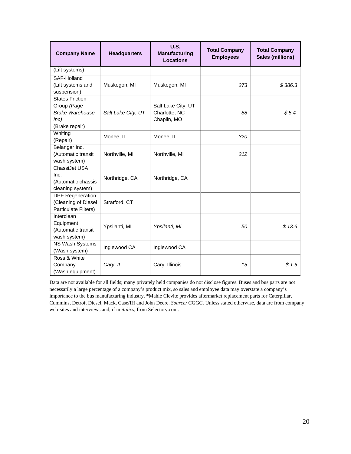| <b>Company Name</b>                                                                       | <b>Headquarters</b> | <b>U.S.</b><br><b>Manufacturing</b><br>Locations   | <b>Total Company</b><br><b>Employees</b> | <b>Total Company</b><br><b>Sales (millions)</b> |
|-------------------------------------------------------------------------------------------|---------------------|----------------------------------------------------|------------------------------------------|-------------------------------------------------|
| (Lift systems)                                                                            |                     |                                                    |                                          |                                                 |
| SAF-Holland<br>(Lift systems and<br>suspension)                                           | Muskegon, MI        | Muskegon, MI                                       | 273                                      | \$386.3                                         |
| <b>States Friction</b><br>Group (Page<br><b>Brake Warehouse</b><br>Inc)<br>(Brake repair) | Salt Lake City, UT  | Salt Lake City, UT<br>Charlotte, NC<br>Chaplin, MO | 88                                       | \$5.4                                           |
| Whiting<br>(Repair)                                                                       | Monee, IL           | Monee, IL                                          | 320                                      |                                                 |
| Belanger Inc.<br>(Automatic transit<br>wash system)                                       | Northville, MI      | Northville, MI                                     | 212                                      |                                                 |
| ChassiJet USA<br>Inc.<br>(Automatic chassis<br>cleaning system)                           | Northridge, CA      | Northridge, CA                                     |                                          |                                                 |
| <b>DPF</b> Regeneration<br>(Cleaning of Diesel<br>Particulate Filters)                    | Stratford, CT       |                                                    |                                          |                                                 |
| Interclean<br>Equipment<br>(Automatic transit<br>wash system)                             | Ypsilanti, MI       | Ypsilanti, MI                                      | 50                                       | \$13.6                                          |
| NS Wash Systems<br>(Wash system)                                                          | Inglewood CA        | Inglewood CA                                       |                                          |                                                 |
| Ross & White<br>Company<br>(Wash equipment)                                               | Cary, IL            | Cary, Illinois                                     | 15                                       | \$1.6                                           |

Data are not available for all fields; many privately held companies do not disclose figures. Buses and bus parts are not necessarily a large percentage of a company's product mix, so sales and employee data may overstate a company's importance to the bus manufacturing industry. \*Mahle Clevite provides aftermarket replacement parts for Caterpillar, Cummins, Detroit Diesel, Mack, Case/IH and John Deere. *Source:* CGGC. Unless stated otherwise, data are from company web-sites and interviews and, if in *italics,* from Selectory.com.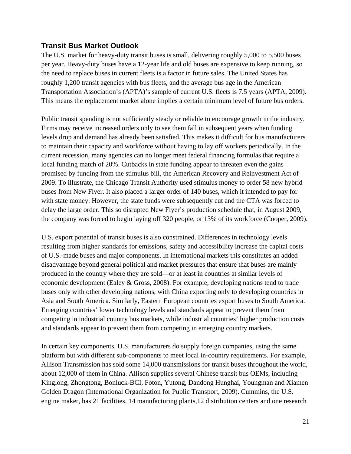#### **Transit Bus Market Outlook**

The U.S. market for heavy-duty transit buses is small, delivering roughly 5,000 to 5,500 buses per year. Heavy-duty buses have a 12-year life and old buses are expensive to keep running, so the need to replace buses in current fleets is a factor in future sales. The United States has roughly 1,200 transit agencies with bus fleets, and the average bus age in the American Transportation Association's (APTA)'s sample of current U.S. fleets is 7.5 years (APTA, 2009). This means the replacement market alone implies a certain minimum level of future bus orders.

Public transit spending is not sufficiently steady or reliable to encourage growth in the industry. Firms may receive increased orders only to see them fall in subsequent years when funding levels drop and demand has already been satisfied. This makes it difficult for bus manufacturers to maintain their capacity and workforce without having to lay off workers periodically. In the current recession, many agencies can no longer meet federal financing formulas that require a local funding match of 20%. Cutbacks in state funding appear to threaten even the gains promised by funding from the stimulus bill, the American Recovery and Reinvestment Act of 2009. To illustrate, the Chicago Transit Authority used stimulus money to order 58 new hybrid buses from New Flyer. It also placed a larger order of 140 buses, which it intended to pay for with state money. However, the state funds were subsequently cut and the CTA was forced to delay the large order. This so disrupted New Flyer's production schedule that, in August 2009, the company was forced to begin laying off 320 people, or 13% of its workforce (Cooper, 2009).

U.S. export potential of transit buses is also constrained. Differences in technology levels resulting from higher standards for emissions, safety and accessibility increase the capital costs of U.S.-made buses and major components. In international markets this constitutes an added disadvantage beyond general political and market pressures that ensure that buses are mainly produced in the country where they are sold—or at least in countries at similar levels of economic development (Ealey & Gross, 2008). For example, developing nations tend to trade buses only with other developing nations, with China exporting only to developing countries in Asia and South America. Similarly, Eastern European countries export buses to South America. Emerging countries' lower technology levels and standards appear to prevent them from competing in industrial country bus markets, while industrial countries' higher production costs and standards appear to prevent them from competing in emerging country markets.

In certain key components, U.S. manufacturers do supply foreign companies, using the same platform but with different sub-components to meet local in-country requirements. For example, Allison Transmission has sold some 14,000 transmissions for transit buses throughout the world, about 12,000 of them in China. Allison supplies several Chinese transit bus OEMs, including Kinglong, Zhongtong, Bonluck-BCI, Foton, Yutong, Dandong Hunghai, Youngman and Xiamen Golden Dragon (International Organization for Public Transport, 2009). Cummins, the U.S. engine maker, has 21 facilities, 14 manufacturing plants,12 distribution centers and one research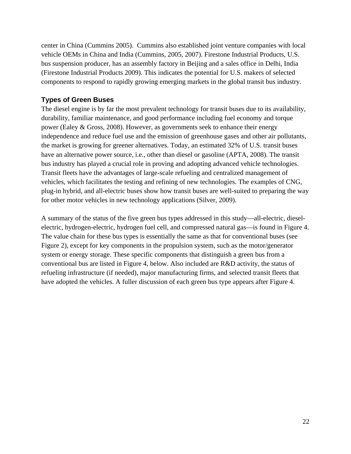center in China (Cummins 2005). Cummins also established joint venture companies with local vehicle OEMs in China and India (Cummins, 2005, 2007). Firestone Industrial Products, U.S. bus suspension producer, has an assembly factory in Beijing and a sales office in Delhi, India (Firestone Industrial Products 2009). This indicates the potential for U.S. makers of selected components to respond to rapidly growing emerging markets in the global transit bus industry.

#### **Types of Green Buses**

The diesel engine is by far the most prevalent technology for transit buses due to its availability, durability, familiar maintenance, and good performance including fuel economy and torque power (Ealey & Gross, 2008). However, as governments seek to enhance their energy independence and reduce fuel use and the emission of greenhouse gases and other air pollutants, the market is growing for greener alternatives. Today, an estimated 32% of U.S. transit buses have an alternative power source, i.e., other than diesel or gasoline (APTA, 2008). The transit bus industry has played a crucial role in proving and adopting advanced vehicle technologies. Transit fleets have the advantages of large-scale refueling and centralized management of vehicles, which facilitates the testing and refining of new technologies. The examples of CNG, plug-in hybrid, and all-electric buses show how transit buses are well-suited to preparing the way for other motor vehicles in new technology applications (Silver, 2009).

A summary of the status of the five green bus types addressed in this study—all-electric, dieselelectric, hydrogen-electric, hydrogen fuel cell, and compressed natural gas—is found in Figure 4. The value chain for these bus types is essentially the same as that for conventional buses (see Figure 2), except for key components in the propulsion system, such as the motor/generator system or energy storage. These specific components that distinguish a green bus from a conventional bus are listed in Figure 4, below. Also included are R&D activity, the status of refueling infrastructure (if needed), major manufacturing firms, and selected transit fleets that have adopted the vehicles. A fuller discussion of each green bus type appears after Figure 4.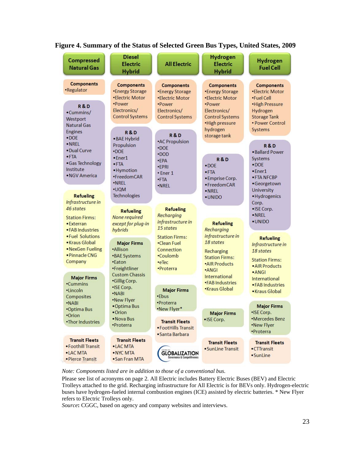

#### **Figure 4. Summary of the Status of Selected Green Bus Types, United States, 2009**

*Note: Components listed are in addition to those of a conventional bus.*

Please see list of acronyms on page 2. All Electric includes Battery Electric Buses (BEV) and Electric Trolleys attached to the grid. Recharging infrastructure for All Electric is for BEVs only. Hydrogen-electric buses have hydrogen-fueled internal combustion engines (ICE) assisted by electric batteries. \* New Flyer refers to Electric Trolleys only.

*Source***:** CGGC, based on agency and company websites and interviews.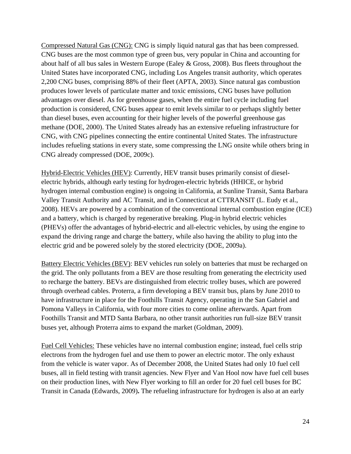Compressed Natural Gas (CNG): CNG is simply liquid natural gas that has been compressed. CNG buses are the most common type of green bus, very popular in China and accounting for about half of all bus sales in Western Europe (Ealey & Gross, 2008). Bus fleets throughout the United States have incorporated CNG, including Los Angeles transit authority, which operates 2,200 CNG buses, comprising 88% of their fleet (APTA, 2003). Since natural gas combustion produces lower levels of particulate matter and toxic emissions, CNG buses have pollution advantages over diesel. As for greenhouse gases, when the entire fuel cycle including fuel production is considered, CNG buses appear to emit levels similar to or perhaps slightly better than diesel buses, even accounting for their higher levels of the powerful greenhouse gas methane (DOE, 2000). The United States already has an extensive refueling infrastructure for CNG, with CNG pipelines connecting the entire continental United States. The infrastructure includes refueling stations in every state, some compressing the LNG onsite while others bring in CNG already compressed (DOE, 2009c).

Hybrid-Electric Vehicles (HEV): Currently, HEV transit buses primarily consist of dieselelectric hybrids, although early testing for hydrogen-electric hybrids (HHICE, or hybrid hydrogen internal combustion engine) is ongoing in California, at Sunline Transit, Santa Barbara Valley Transit Authority and AC Transit, and in Connecticut at CTTRANSIT (L. Eudy et al., 2008). HEVs are powered by a combination of the conventional internal combustion engine (ICE) and a battery, which is charged by regenerative breaking. Plug-in hybrid electric vehicles (PHEVs) offer the advantages of hybrid-electric and all-electric vehicles, by using the engine to expand the driving range and charge the battery, while also having the ability to plug into the electric grid and be powered solely by the stored electricity (DOE, 2009a).

Battery Electric Vehicles (BEV): BEV vehicles run solely on batteries that must be recharged on the grid. The only pollutants from a BEV are those resulting from generating the electricity used to recharge the battery. BEVs are distinguished from electric trolley buses, which are powered through overhead cables. Proterra, a firm developing a BEV transit bus, plans by June 2010 to have infrastructure in place for the Foothills Transit Agency, operating in the San Gabriel and Pomona Valleys in California, with four more cities to come online afterwards. Apart from Foothills Transit and MTD Santa Barbara, no other transit authorities run full-size BEV transit buses yet, although Proterra aims to expand the market (Goldman, 2009).

Fuel Cell Vehicles: These vehicles have no internal combustion engine; instead, fuel cells strip electrons from the hydrogen fuel and use them to power an electric motor. The only exhaust from the vehicle is water vapor. As of December 2008, the United States had only 10 fuel cell buses, all in field testing with transit agencies. New Flyer and Van Hool now have fuel cell buses on their production lines, with New Flyer working to fill an order for 20 fuel cell buses for BC Transit in Canada (Edwards, 2009)**.** The refueling infrastructure for hydrogen is also at an early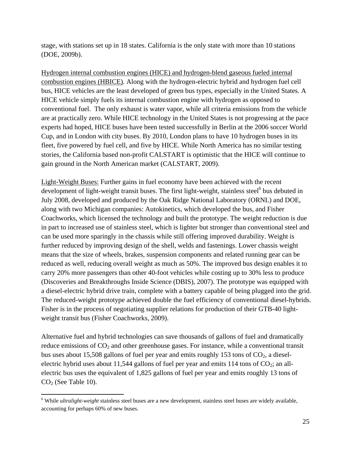stage, with stations set up in 18 states. California is the only state with more than 10 stations (DOE, 2009b).

Hydrogen internal combustion engines (HICE) and hydrogen-blend gaseous fueled internal combustion engines (HBICE). Along with the hydrogen-electric hybrid and hydrogen fuel cell bus, HICE vehicles are the least developed of green bus types, especially in the United States. A HICE vehicle simply fuels its internal combustion engine with hydrogen as opposed to conventional fuel. The only exhaust is water vapor, while all criteria emissions from the vehicle are at practically zero. While HICE technology in the United States is not progressing at the pace experts had hoped, HICE buses have been tested successfully in Berlin at the 2006 soccer World Cup, and in London with city buses. By 2010, London plans to have 10 hydrogen buses in its fleet, five powered by fuel cell, and five by HICE. While North America has no similar testing stories, the California based non-profit CALSTART is optimistic that the HICE will continue to gain ground in the North American market (CALSTART, 2009).

Light-Weight Buses: Further gains in fuel economy have been achieved with the recent development of light-weight transit buses. The first light-weight, stainless steel $^6$  bus debuted in July 2008, developed and produced by the Oak Ridge National Laboratory (ORNL) and DOE, along with two Michigan companies: Autokinetics, which developed the bus, and Fisher Coachworks, which licensed the technology and built the prototype. The weight reduction is due in part to increased use of stainless steel, which is lighter but stronger than conventional steel and can be used more sparingly in the chassis while still offering improved durability. Weight is further reduced by improving design of the shell, welds and fastenings. Lower chassis weight means that the size of wheels, brakes, suspension components and related running gear can be reduced as well, reducing overall weight as much as 50%. The improved bus design enables it to carry 20% more passengers than other 40-foot vehicles while costing up to 30% less to produce (Discoveries and Breakthroughs Inside Science (DBIS), 2007). The prototype was equipped with a diesel-electric hybrid drive train, complete with a battery capable of being plugged into the grid. The reduced-weight prototype achieved double the fuel efficiency of conventional diesel-hybrids. Fisher is in the process of negotiating supplier relations for production of their GTB-40 lightweight transit bus (Fisher Coachworks, 2009).

Alternative fuel and hybrid technologies can save thousands of gallons of fuel and dramatically reduce emissions of  $CO<sub>2</sub>$  and other greenhouse gases. For instance, while a conventional transit bus uses about 15,508 gallons of fuel per year and emits roughly 153 tons of  $CO<sub>2</sub>$ , a dieselelectric hybrid uses about 11,544 gallons of fuel per year and emits 114 tons of  $CO_2$ ; an allelectric bus uses the equivalent of 1,825 gallons of fuel per year and emits roughly 13 tons of  $CO<sub>2</sub>$  (See Table 10).

 $\overline{a}$ 

<sup>&</sup>lt;sup>6</sup> While *ultralight-weight* stainless steel buses are a new development, stainless steel buses are widely available, accounting for perhaps 60% of new buses.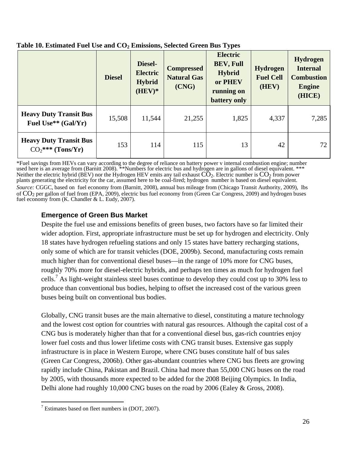|                                                                  | <b>Diesel</b> | Diesel-<br><b>Electric</b><br><b>Hybrid</b><br>$(HEV)*$ | <b>Compressed</b><br><b>Natural Gas</b><br>(CNG) | <b>Electric</b><br><b>BEV, Full</b><br><b>Hybrid</b><br>or PHEV<br>running on<br>battery only | <b>Hydrogen</b><br><b>Fuel Cell</b><br>(HEV) | <b>Hydrogen</b><br><b>Internal</b><br><b>Combustion</b><br><b>Engine</b><br>(HICE) |
|------------------------------------------------------------------|---------------|---------------------------------------------------------|--------------------------------------------------|-----------------------------------------------------------------------------------------------|----------------------------------------------|------------------------------------------------------------------------------------|
| <b>Heavy Duty Transit Bus</b><br>Fuel Use <sup>**</sup> (Gal/Yr) | 15,508        | 11,544                                                  | 21,255                                           | 1,825                                                                                         | 4,337                                        | 7,285                                                                              |
| <b>Heavy Duty Transit Bus</b><br>$CO_2$ *** (Tons/Yr)            | 153           | 114                                                     | 115                                              | 13                                                                                            | 42                                           | 72                                                                                 |

#### Table 10. Estimated Fuel Use and CO<sub>2</sub> Emissions, Selected Green Bus Types

\*Fuel savings from HEVs can vary according to the degree of reliance on battery power v internal combustion engine; number used here is an average from (Barnitt 2008). \*\*Numbers for electric bus and hydrogen are in gallons of diesel equivalent. \*\*\* Neither the electric hybrid (BEV) nor the Hydrogen HEV emits any tail exhaust  $\check{CO}_2$ . Electric number is  $\check{CO}_2$  from power plants generating the electricity for the car, assumed here to be coal-fired; hydrogen number is based on diesel equivalent. *Source:* CGGC, based on fuel economy from (Barnitt, 2008), annual bus mileage from (Chicago Transit Authority, 2009), lbs of CO2 per gallon of fuel from (EPA, 2009), electric bus fuel economy from (Green Car Congress, 2009) and hydrogen buses fuel economy from (K. Chandler & L. Eudy, 2007).

#### **Emergence of Green Bus Market**

Despite the fuel use and emissions benefits of green buses, two factors have so far limited their wider adoption. First, appropriate infrastructure must be set up for hydrogen and electricity. Only 18 states have hydrogen refueling stations and only 15 states have battery recharging stations, only some of which are for transit vehicles (DOE, 2009b). Second, manufacturing costs remain much higher than for conventional diesel buses—in the range of 10% more for CNG buses, roughly 70% more for diesel-electric hybrids, and perhaps ten times as much for hydrogen fuel cells.<sup>7</sup> As light-weight stainless steel buses continue to develop they could cost up to 30% less to produce than conventional bus bodies, helping to offset the increased cost of the various green buses being built on conventional bus bodies.

Globally, CNG transit buses are the main alternative to diesel, constituting a mature technology and the lowest cost option for countries with natural gas resources. Although the capital cost of a CNG bus is moderately higher than that for a conventional diesel bus, gas-rich countries enjoy lower fuel costs and thus lower lifetime costs with CNG transit buses. Extensive gas supply infrastructure is in place in Western Europe, where CNG buses constitute half of bus sales (Green Car Congress, 2006b). Other gas-abundant countries where CNG bus fleets are growing rapidly include China, Pakistan and Brazil. China had more than 55,000 CNG buses on the road by 2005, with thousands more expected to be added for the 2008 Beijing Olympics. In India, Delhi alone had roughly 10,000 CNG buses on the road by 2006 (Ealey & Gross, 2008).

 $\overline{a}$  $7$  Estimates based on fleet numbers in (DOT, 2007).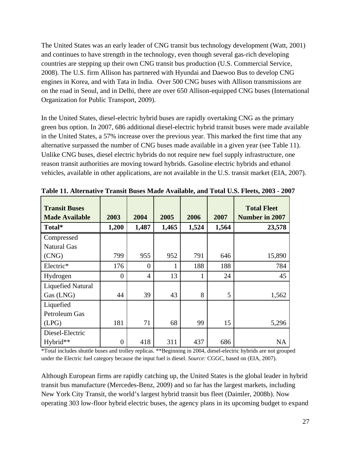The United States was an early leader of CNG transit bus technology development (Watt, 2001) and continues to have strength in the technology, even though several gas-rich developing countries are stepping up their own CNG transit bus production (U.S. Commercial Service, 2008). The U.S. firm Allison has partnered with Hyundai and Daewoo Bus to develop CNG engines in Korea, and with Tata in India. Over 500 CNG buses with Allison transmissions are on the road in Seoul, and in Delhi, there are over 650 Allison-equipped CNG buses (International Organization for Public Transport, 2009).

In the United States, diesel-electric hybrid buses are rapidly overtaking CNG as the primary green bus option. In 2007, 686 additional diesel-electric hybrid transit buses were made available in the United States, a 57% increase over the previous year. This marked the first time that any alternative surpassed the number of CNG buses made available in a given year (see Table 11). Unlike CNG buses, diesel electric hybrids do not require new fuel supply infrastructure, one reason transit authorities are moving toward hybrids. Gasoline electric hybrids and ethanol vehicles, available in other applications, are not available in the U.S. transit market (EIA, 2007).

| <b>Transit Buses</b><br><b>Made Available</b> | 2003           | 2004           | 2005  | 2006         | 2007  | <b>Total Fleet</b><br><b>Number in 2007</b> |
|-----------------------------------------------|----------------|----------------|-------|--------------|-------|---------------------------------------------|
| Total*                                        | 1,200          | 1,487          | 1,465 | 1,524        | 1,564 | 23,578                                      |
| Compressed<br><b>Natural Gas</b>              |                |                |       |              |       |                                             |
| (CNG)                                         | 799            | 955            | 952   | 791          | 646   | 15,890                                      |
| Electric*                                     | 176            | $\theta$       | 1     | 188          | 188   | 784                                         |
| Hydrogen                                      | $\overline{0}$ | $\overline{4}$ | 13    | $\mathbf{1}$ | 24    | 45                                          |
| <b>Liquefied Natural</b><br>Gas (LNG)         | 44             | 39             | 43    | 8            | 5     | 1,562                                       |
| Liquefied<br>Petroleum Gas                    |                |                |       |              |       |                                             |
| (LPG)                                         | 181            | 71             | 68    | 99           | 15    | 5,296                                       |
| Diesel-Electric<br>Hybrid**                   | $\overline{0}$ | 418            | 311   | 437          | 686   | <b>NA</b>                                   |

**Table 11. Alternative Transit Buses Made Available, and Total U.S. Fleets, 2003 - 2007** 

\*Total includes shuttle buses and trolley replicas. \*\*Beginning in 2004, diesel-electric hybrids are not grouped under the Electric fuel category because the input fuel is diesel. *Source:* CGGC, based on (EIA, 2007).

Although European firms are rapidly catching up, the United States is the global leader in hybrid transit bus manufacture (Mercedes-Benz, 2009) and so far has the largest markets, including New York City Transit, the world's largest hybrid transit bus fleet (Daimler, 2008b). Now operating 303 low-floor hybrid electric buses, the agency plans in its upcoming budget to expand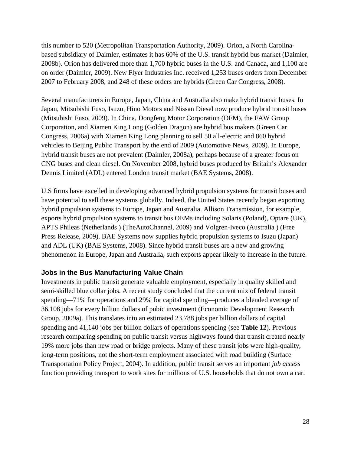this number to 520 (Metropolitan Transportation Authority, 2009). Orion, a North Carolinabased subsidiary of Daimler, estimates it has 60% of the U.S. transit hybrid bus market (Daimler, 2008b). Orion has delivered more than 1,700 hybrid buses in the U.S. and Canada, and 1,100 are on order (Daimler, 2009). New Flyer Industries Inc. received 1,253 buses orders from December 2007 to February 2008, and 248 of these orders are hybrids (Green Car Congress, 2008).

Several manufacturers in Europe, Japan, China and Australia also make hybrid transit buses. In Japan, Mitsubishi Fuso, Isuzu, Hino Motors and Nissan Diesel now produce hybrid transit buses (Mitsubishi Fuso, 2009). In China, Dongfeng Motor Corporation (DFM), the FAW Group Corporation, and Xiamen King Long (Golden Dragon) are hybrid bus makers (Green Car Congress, 2006a) with Xiamen King Long planning to sell 50 all-electric and 860 hybrid vehicles to Beijing Public Transport by the end of 2009 (Automotive News, 2009). In Europe, hybrid transit buses are not prevalent (Daimler, 2008a), perhaps because of a greater focus on CNG buses and clean diesel. On November 2008, hybrid buses produced by Britain's Alexander Dennis Limited (ADL) entered London transit market (BAE Systems, 2008).

U.S firms have excelled in developing advanced hybrid propulsion systems for transit buses and have potential to sell these systems globally. Indeed, the United States recently began exporting hybrid propulsion systems to Europe, Japan and Australia. Allison Transmission, for example, exports hybrid propulsion systems to transit bus OEMs including Solaris (Poland), Optare (UK), APTS Phileas (Netherlands ) (TheAutoChannel, 2009) and Volgren-Iveco (Australia ) (Free Press Release, 2009). BAE Systems now supplies hybrid propulsion systems to Isuzu (Japan) and ADL (UK) (BAE Systems, 2008). Since hybrid transit buses are a new and growing phenomenon in Europe, Japan and Australia, such exports appear likely to increase in the future.

#### **Jobs in the Bus Manufacturing Value Chain**

Investments in public transit generate valuable employment, especially in quality skilled and semi-skilled blue collar jobs. A recent study concluded that the current mix of federal transit spending—71% for operations and 29% for capital spending—produces a blended average of 36,108 jobs for every billion dollars of pubic investment (Economic Development Research Group, 2009a). This translates into an estimated 23,788 jobs per billion dollars of capital spending and 41,140 jobs per billion dollars of operations spending (see **Table 12**). Previous research comparing spending on public transit versus highways found that transit created nearly 19% more jobs than new road or bridge projects. Many of these transit jobs were high-quality, long-term positions, not the short-term employment associated with road building (Surface Transportation Policy Project, 2004). In addition, public transit serves an important *job access* function providing transport to work sites for millions of U.S. households that do not own a car.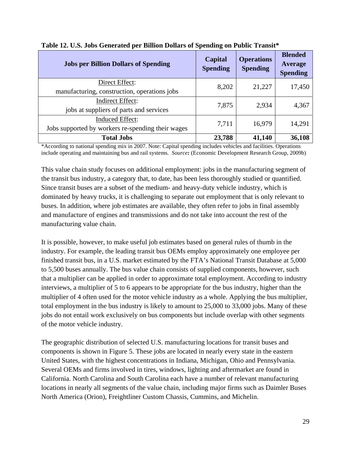| <b>Jobs per Billion Dollars of Spending</b>                                 | Capital<br><b>Spending</b> | <b>Operations</b><br><b>Spending</b> | <b>Blended</b><br>Average<br><b>Spending</b> |
|-----------------------------------------------------------------------------|----------------------------|--------------------------------------|----------------------------------------------|
| Direct Effect:<br>manufacturing, construction, operations jobs              | 8,202                      | 21,227                               | 17,450                                       |
| <b>Indirect Effect:</b><br>jobs at suppliers of parts and services          | 7,875                      | 2,934                                | 4,367                                        |
| <b>Induced Effect:</b><br>Jobs supported by workers re-spending their wages | 7,711                      | 16,979                               | 14,291                                       |
| <b>Total Jobs</b>                                                           | 23,788                     | 41,140                               | 36,108                                       |

#### **Table 12. U.S. Jobs Generated per Billion Dollars of Spending on Public Transit\***

\*According to national spending mix in 2007. Note: Capital spending includes vehicles and facilities. Operations include operating and maintaining bus and rail systems. *Source:* (Economic Development Research Group, 2009b)

This value chain study focuses on additional employment: jobs in the manufacturing segment of the transit bus industry, a category that, to date, has been less thoroughly studied or quantified. Since transit buses are a subset of the medium- and heavy-duty vehicle industry, which is dominated by heavy trucks, it is challenging to separate out employment that is only relevant to buses. In addition, where job estimates are available, they often refer to jobs in final assembly and manufacture of engines and transmissions and do not take into account the rest of the manufacturing value chain.

It is possible, however, to make useful job estimates based on general rules of thumb in the industry. For example, the leading transit bus OEMs employ approximately one employee per finished transit bus, in a U.S. market estimated by the FTA's National Transit Database at 5,000 to 5,500 buses annually. The bus value chain consists of supplied components, however, such that a multiplier can be applied in order to approximate total employment. According to industry interviews, a multiplier of 5 to 6 appears to be appropriate for the bus industry, higher than the multiplier of 4 often used for the motor vehicle industry as a whole. Applying the bus multiplier, total employment in the bus industry is likely to amount to 25,000 to 33,000 jobs. Many of these jobs do not entail work exclusively on bus components but include overlap with other segments of the motor vehicle industry.

The geographic distribution of selected U.S. manufacturing locations for transit buses and components is shown in Figure 5. These jobs are located in nearly every state in the eastern United States, with the highest concentrations in Indiana, Michigan, Ohio and Pennsylvania. Several OEMs and firms involved in tires, windows, lighting and aftermarket are found in California. North Carolina and South Carolina each have a number of relevant manufacturing locations in nearly all segments of the value chain, including major firms such as Daimler Buses North America (Orion), Freightliner Custom Chassis, Cummins, and Michelin.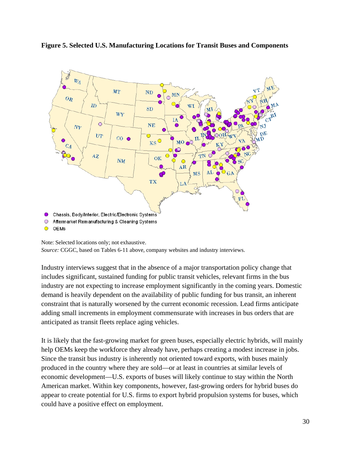



Note: Selected locations only; not exhaustive. *Source:* CGGC, based on Tables 6-11 above, company websites and industry interviews.

Industry interviews suggest that in the absence of a major transportation policy change that includes significant, sustained funding for public transit vehicles, relevant firms in the bus industry are not expecting to increase employment significantly in the coming years. Domestic demand is heavily dependent on the availability of public funding for bus transit, an inherent constraint that is naturally worsened by the current economic recession. Lead firms anticipate adding small increments in employment commensurate with increases in bus orders that are anticipated as transit fleets replace aging vehicles.

It is likely that the fast-growing market for green buses, especially electric hybrids, will mainly help OEMs keep the workforce they already have, perhaps creating a modest increase in jobs. Since the transit bus industry is inherently not oriented toward exports, with buses mainly produced in the country where they are sold—or at least in countries at similar levels of economic development—U.S. exports of buses will likely continue to stay within the North American market. Within key components, however, fast-growing orders for hybrid buses do appear to create potential for U.S. firms to export hybrid propulsion systems for buses, which could have a positive effect on employment.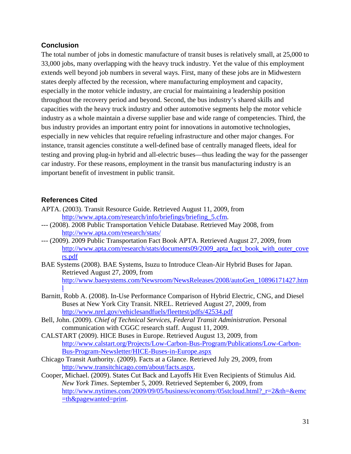#### **Conclusion**

The total number of jobs in domestic manufacture of transit buses is relatively small, at 25,000 to 33,000 jobs, many overlapping with the heavy truck industry. Yet the value of this employment extends well beyond job numbers in several ways. First, many of these jobs are in Midwestern states deeply affected by the recession, where manufacturing employment and capacity, especially in the motor vehicle industry, are crucial for maintaining a leadership position throughout the recovery period and beyond. Second, the bus industry's shared skills and capacities with the heavy truck industry and other automotive segments help the motor vehicle industry as a whole maintain a diverse supplier base and wide range of competencies. Third, the bus industry provides an important entry point for innovations in automotive technologies, especially in new vehicles that require refueling infrastructure and other major changes. For instance, transit agencies constitute a well-defined base of centrally managed fleets, ideal for testing and proving plug-in hybrid and all-electric buses—thus leading the way for the passenger car industry. For these reasons, employment in the transit bus manufacturing industry is an important benefit of investment in public transit.

#### **References Cited**

- APTA. (2003). Transit Resource Guide. Retrieved August 11, 2009, from http://www.apta.com/research/info/briefings/briefing\_5.cfm.
- --- (2008). 2008 Public Transportation Vehicle Database. Retrieved May 2008, from http://www.apta.com/research/stats/
- --- (2009). 2009 Public Transportation Fact Book APTA. Retrieved August 27, 2009, from http://www.apta.com/research/stats/documents09/2009\_apta\_fact\_book\_with\_outer\_cove rs.pdf
- BAE Systems (2008). BAE Systems, Isuzu to Introduce Clean-Air Hybrid Buses for Japan. Retrieved August 27, 2009, from http://www.baesystems.com/Newsroom/NewsReleases/2008/autoGen\_10896171427.htm l
- Barnitt, Robb A. (2008). In-Use Performance Comparison of Hybrid Electric, CNG, and Diesel Buses at New York City Transit. NREL. Retrieved August 27, 2009, from http://www.nrel.gov/vehiclesandfuels/fleettest/pdfs/42534.pdf
- Bell, John. (2009). *Chief of Technical Services, Federal Transit Administration*. Personal communication with CGGC research staff. August 11, 2009.
- CALSTART (2009). HICE Buses in Europe. Retrieved August 13, 2009, from http://www.calstart.org/Projects/Low-Carbon-Bus-Program/Publications/Low-Carbon-Bus-Program-Newsletter/HICE-Buses-in-Europe.aspx
- Chicago Transit Authority. (2009). Facts at a Glance. Retrieved July 29, 2009, from http://www.transitchicago.com/about/facts.aspx.
- Cooper, Michael. (2009). States Cut Back and Layoffs Hit Even Recipients of Stimulus Aid*. New York Times*. September 5, 2009. Retrieved September 6, 2009, from http://www.nytimes.com/2009/09/05/business/economy/05stcloud.html?\_r=2&th=&emc =th&pagewanted=print.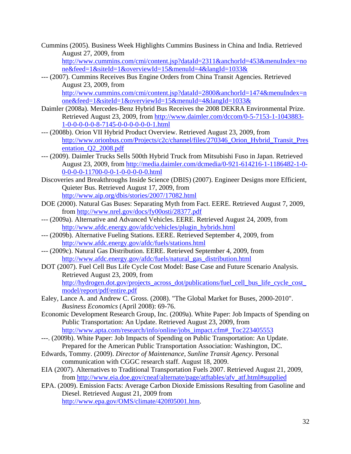Cummins (2005). Business Week Highlights Cummins Business in China and India. Retrieved August 27, 2009, from

http://www.cummins.com/cmi/content.jsp?dataId=2311&anchorId=453&menuIndex=no ne&feed=1&siteId=1&overviewId=15&menuId=4&langId=1033&

--- (2007). Cummins Receives Bus Engine Orders from China Transit Agencies. Retrieved August 23, 2009, from http://www.cummins.com/cmi/content.jsp?dataId=2800&anchorId=1474&menuIndex=n

one&feed=1&siteId=1&overviewId=15&menuId=4&langId=1033& Daimler (2008a). Mercedes-Benz Hybrid Bus Receives the 2008 DEKRA Environmental Prize.

- Retrieved August 23, 2009, from http://www.daimler.com/dccom/0-5-7153-1-1043883- 1-0-0-0-0-0-8-7145-0-0-0-0-0-0-1.html
- --- (2008b). Orion VII Hybrid Product Overview. Retrieved August 23, 2009, from http://www.orionbus.com/Projects/c2c/channel/files/270346\_Orion\_Hybrid\_Transit\_Pres entation\_Q2\_2008.pdf
- --- (2009). Daimler Trucks Sells 500th Hybrid Truck from Mitsubishi Fuso in Japan. Retrieved August 23, 2009, from http://media.daimler.com/dcmedia/0-921-614216-1-1186482-1-0- 0-0-0-0-11700-0-0-1-0-0-0-0-0.html
- Discoveries and Breakthroughs Inside Science (DBIS) (2007). Engineer Designs more Efficient, Quieter Bus. Retrieved August 17, 2009, from http://www.aip.org/dbis/stories/2007/17082.html
- DOE (2000). Natural Gas Buses: Separating Myth from Fact. EERE. Retrieved August 7, 2009, from http://www.nrel.gov/docs/fy00osti/28377.pdf
- --- (2009a). Alternative and Advanced Vehicles. EERE. Retrieved August 24, 2009, from http://www.afdc.energy.gov/afdc/vehicles/plugin\_hybrids.html
- --- (2009b). Alternative Fueling Stations. EERE. Retrieved September 4, 2009, from http://www.afdc.energy.gov/afdc/fuels/stations.html
- --- (2009c). Natural Gas Distribution. EERE. Retrieved September 4, 2009, from http://www.afdc.energy.gov/afdc/fuels/natural\_gas\_distribution.html
- DOT (2007). Fuel Cell Bus Life Cycle Cost Model: Base Case and Future Scenario Analysis. Retrieved August 23, 2009, from http://hydrogen.dot.gov/projects\_across\_dot/publications/fuel\_cell\_bus\_life\_cycle\_cost\_ model/report/pdf/entire.pdf
- Ealey, Lance A. and Andrew C. Gross. (2008). "The Global Market for Buses, 2000-2010". *Business Economics* (April 2008): 69-76.
- Economic Development Research Group, Inc. (2009a). White Paper: Job Impacts of Spending on Public Transportation: An Update. Retrieved August 23, 2009, from http://www.apta.com/research/info/online/jobs\_impact.cfm#\_Toc223405553
- ---. (2009b). White Paper: Job Impacts of Spending on Public Transportation: An Update. Prepared for the American Public Transportation Association: Washington, DC.
- Edwards, Tommy. (2009). *Director of Maintenance, Sunline Transit Agency*. Personal communication with CGGC research staff. August 18, 2009.
- EIA (2007). Alternatives to Traditional Transportation Fuels 2007. Retrieved August 21, 2009, from http://www.eia.doe.gov/cneaf/alternate/page/atftables/afv\_atf.html#supplied

EPA. (2009). Emission Facts: Average Carbon Dioxide Emissions Resulting from Gasoline and Diesel. Retrieved August 21, 2009 from http://www.epa.gov/OMS/climate/420f05001.htm.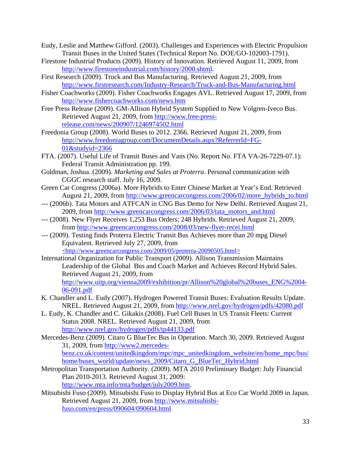- Eudy, Leslie and Matthew Gifford. (2003). Challenges and Experiences with Electric Propulsion Transit Buses in the United States (Technical Report No. DOE/GO-102003-1791).
- Firestone Industrial Products (2009). History of Innovation. Retrieved August 11, 2009, from http://www.firestoneindustrial.com/history/2000.shtml.
- First Research (2009). Truck and Bus Manufacturing. Retrieved August 21, 2009, from http://www.firstresearch.com/Industry-Research/Truck-and-Bus-Manufacturing.html
- Fisher Coachworks (2009). Fisher Coachworks Engages AVL. Retrieved August 17, 2009, from http://www.fishercoachworks.com/news.htm
- Free Press Release (2009). GM-Allison Hybrid System Supplied to New Volgren-Iveco Bus. Retrieved August 21, 2009, from http://www.free-pressrelease.com/news/200907/1246974502.html
- Freedonia Group (2008). World Buses to 2012. 2366. Retrieved August 21, 2009, from http://www.freedoniagroup.com/DocumentDetails.aspx?ReferrerId=FG-01&studyid=2366
- FTA. (2007). Useful Life of Transit Buses and Vans (No. Report No. FTA VA-26-7229-07.1): Federal Transit Administration pp. 199.
- Goldman, Joshua. (2009). *Marketing and Sales at Proterra*. Personal communication with CGGC research staff. July 16, 2009.
- Green Car Congress (2006a). More Hybrids to Enter Chinese Market at Year's End. Retrieved August 21, 2009, from http://www.greencarcongress.com/2006/02/more\_hybrids\_to.html
- --- (2006b). Tata Motors and ATFCAN in CNG Bus Demo for New Delhi. Retrieved August 21, 2009, from http://www.greencarcongress.com/2006/03/tata\_motors\_and.html
- --- (2008). New Flyer Receives 1,253 Bus Orders; 248 Hybrids. Retrieved August 21, 2009, from http://www.greencarcongress.com/2008/03/new-flyer-recei.html
- --- (2009). Testing finds Proterra Electric Transit Bus Achieves more than 20 mpg Diesel Equivalent. Retrieved July 27, 2009, from <http://www.greencarcongress.com/2009/05/proterra-20090505.html>
- International Organization for Public Transport (2009). Allison Transmission Maintains Leadership of the Global Bus and Coach Market and Achieves Record Hybrid Sales. Retrieved August 21, 2009, from http://www.uitp.org/vienna2009/exhibition/pr/Allison%20global%20buses\_ENG%2004- 06-091.pdf
- K. Chandler and L. Eudy (2007). Hydrogen Powered Transit Buses: Evaluation Results Update. NREL. Retrieved August 21, 2009, from http://www.nrel.gov/hydrogen/pdfs/42080.pdf
- L. Eudy, K. Chandler and C. Gikakis (2008). Fuel Cell Buses in US Transit Fleets: Current Status 2008. NREL. Retrieved August 21, 2009, from http://www.nrel.gov/hydrogen/pdfs/tp44133.pdf
- Mercedes-Benz (2009). Citaro G BlueTec Bus in Operation. March 30, 2009. Retrieved August 31, 2009, from http://www2.mercedesbenz.co.uk/content/unitedkingdom/mpc/mpc\_unitedkingdom\_website/en/home\_mpc/bus/ home/buses\_world/update/news\_2009/Citaro\_G\_BlueTec\_Hybrid.html
- Metropolitan Transportation Authority. (2009). MTA 2010 Preliminary Budget: July Financial Plan 2010-2013. Retrieved August 31, 2009: http://www.mta.info/mta/budget/july2009.htm.
- Mitsubishi Fuso (2009). Mitsubishi Fuso to Display Hybrid Bus at Eco Car World 2009 in Japan. Retrieved August 21, 2009, from http://www.mitsubishifuso.com/en/press/090604/090604.html